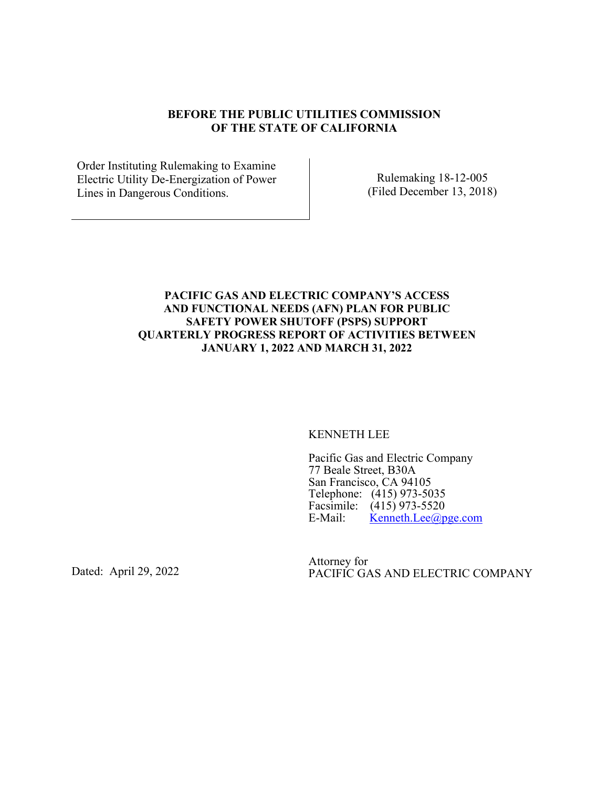#### **BEFORE THE PUBLIC UTILITIES COMMISSION OF THE STATE OF CALIFORNIA**

Order Instituting Rulemaking to Examine Electric Utility De-Energization of Power Lines in Dangerous Conditions.

Rulemaking 18-12-005 (Filed December 13, 2018)

#### **PACIFIC GAS AND ELECTRIC COMPANY'S ACCESS AND FUNCTIONAL NEEDS (AFN) PLAN FOR PUBLIC SAFETY POWER SHUTOFF (PSPS) SUPPORT QUARTERLY PROGRESS REPORT OF ACTIVITIES BETWEEN JANUARY 1, 2022 AND MARCH 31, 2022**

KENNETH LEE

Pacific Gas and Electric Company 77 Beale Street, B30A San Francisco, CA 94105 Telephone: (415) 973-5035 Facsimile:  $(415)$  973-5520<br>E-Mail: Kenneth.Lee@p  $K$ enneth.Lee $(a)$ pge.com

Dated: April 29, 2022

Attorney for PACIFIC GAS AND ELECTRIC COMPANY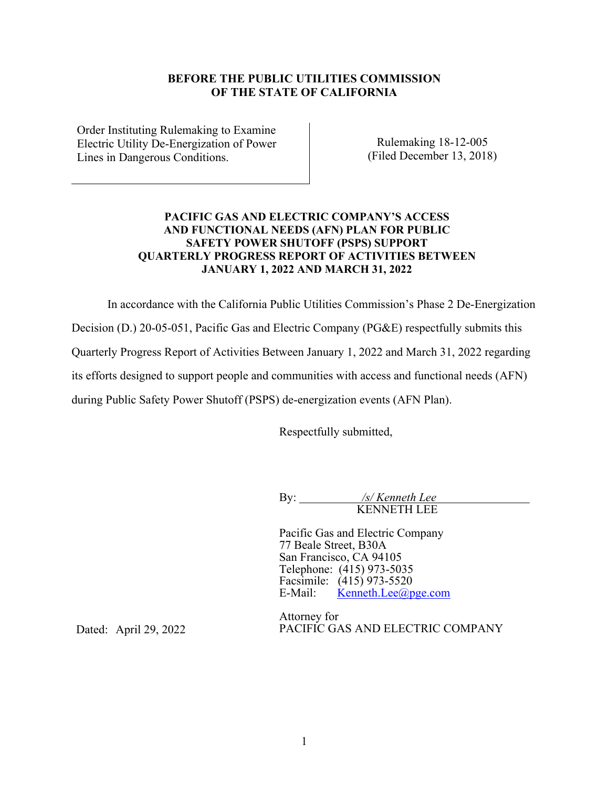#### **BEFORE THE PUBLIC UTILITIES COMMISSION OF THE STATE OF CALIFORNIA**

Order Instituting Rulemaking to Examine Electric Utility De-Energization of Power Lines in Dangerous Conditions.

Rulemaking 18-12-005 (Filed December 13, 2018)

#### **PACIFIC GAS AND ELECTRIC COMPANY'S ACCESS AND FUNCTIONAL NEEDS (AFN) PLAN FOR PUBLIC SAFETY POWER SHUTOFF (PSPS) SUPPORT QUARTERLY PROGRESS REPORT OF ACTIVITIES BETWEEN JANUARY 1, 2022 AND MARCH 31, 2022**

In accordance with the California Public Utilities Commission's Phase 2 De-Energization Decision (D.) 20-05-051, Pacific Gas and Electric Company (PG&E) respectfully submits this Quarterly Progress Report of Activities Between January 1, 2022 and March 31, 2022 regarding its efforts designed to support people and communities with access and functional needs (AFN) during Public Safety Power Shutoff (PSPS) de-energization events (AFN Plan).

Respectfully submitted,

By: */s/ Kenneth Lee* **KENNETH LEE** 

Pacific Gas and Electric Company 77 Beale Street, B30A San Francisco, CA 94105 Telephone: (415) 973-5035 Facsimile:  $(415)$  973-5520<br>E-Mail: Kenneth.Lee@p  $\text{Kenneth.}$ Lee $\textcircled{a}$ pge.com

Dated: April 29, 2022

Attorney for PACIFIC GAS AND ELECTRIC COMPANY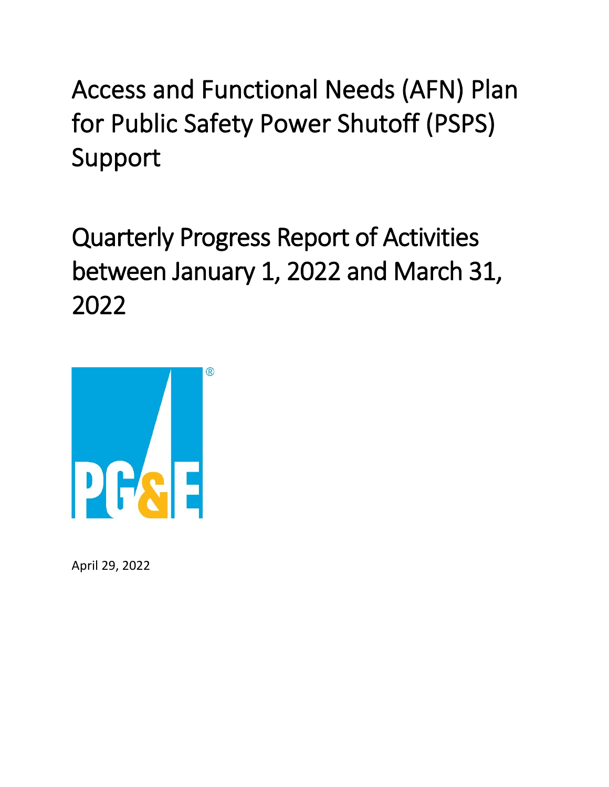Access and Functional Needs (AFN) Plan for Public Safety Power Shutoff (PSPS) Support

Quarterly Progress Report of Activities between January 1, 2022 and March 31, 2022



April 29, 2022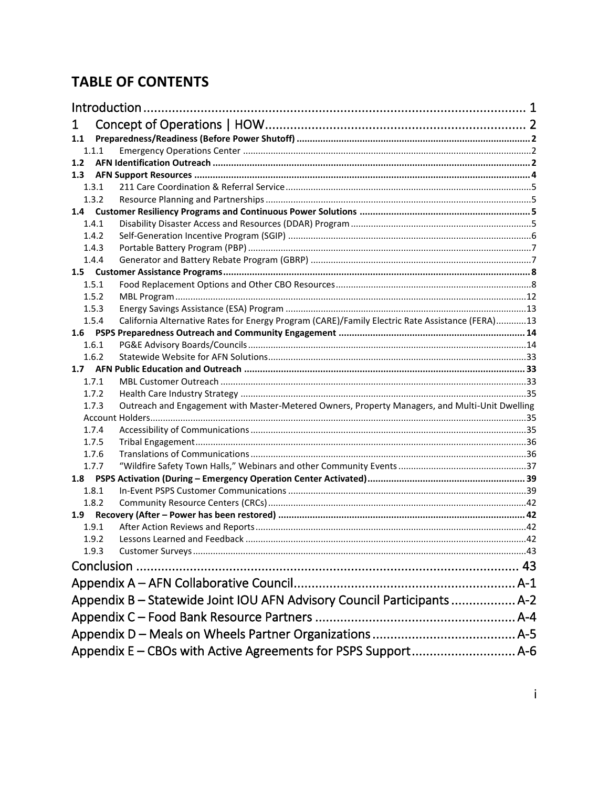# **TABLE OF CONTENTS**

| Introduction                                                            |                                                                                                 |  |  |  |
|-------------------------------------------------------------------------|-------------------------------------------------------------------------------------------------|--|--|--|
| 1                                                                       |                                                                                                 |  |  |  |
| 1.1                                                                     |                                                                                                 |  |  |  |
| 1.1.1                                                                   |                                                                                                 |  |  |  |
| 1.2                                                                     |                                                                                                 |  |  |  |
| 1.3                                                                     |                                                                                                 |  |  |  |
| 1.3.1                                                                   |                                                                                                 |  |  |  |
| 1.3.2                                                                   |                                                                                                 |  |  |  |
|                                                                         |                                                                                                 |  |  |  |
| 1.4.1                                                                   |                                                                                                 |  |  |  |
| 1.4.2                                                                   |                                                                                                 |  |  |  |
| 1.4.3                                                                   |                                                                                                 |  |  |  |
| 1.4.4                                                                   |                                                                                                 |  |  |  |
|                                                                         |                                                                                                 |  |  |  |
| 1.5.1                                                                   |                                                                                                 |  |  |  |
| 1.5.2                                                                   |                                                                                                 |  |  |  |
| 1.5.3                                                                   |                                                                                                 |  |  |  |
| 1.5.4                                                                   | California Alternative Rates for Energy Program (CARE)/Family Electric Rate Assistance (FERA)13 |  |  |  |
|                                                                         |                                                                                                 |  |  |  |
| 1.6.1                                                                   |                                                                                                 |  |  |  |
| 1.6.2                                                                   |                                                                                                 |  |  |  |
|                                                                         |                                                                                                 |  |  |  |
| 1.7.1                                                                   |                                                                                                 |  |  |  |
| 1.7.2                                                                   |                                                                                                 |  |  |  |
| 1.7.3                                                                   | Outreach and Engagement with Master-Metered Owners, Property Managers, and Multi-Unit Dwelling  |  |  |  |
|                                                                         |                                                                                                 |  |  |  |
| 1.7.4                                                                   |                                                                                                 |  |  |  |
| 1.7.5                                                                   |                                                                                                 |  |  |  |
| 1.7.6                                                                   |                                                                                                 |  |  |  |
| 1.7.7                                                                   |                                                                                                 |  |  |  |
|                                                                         |                                                                                                 |  |  |  |
| 1.8.1                                                                   |                                                                                                 |  |  |  |
| 1.8.2<br>1.9                                                            |                                                                                                 |  |  |  |
| 1.9.1                                                                   |                                                                                                 |  |  |  |
| 1.9.2                                                                   |                                                                                                 |  |  |  |
| 1.9.3                                                                   |                                                                                                 |  |  |  |
|                                                                         |                                                                                                 |  |  |  |
| Conclusion                                                              |                                                                                                 |  |  |  |
|                                                                         |                                                                                                 |  |  |  |
| Appendix B - Statewide Joint IOU AFN Advisory Council Participants  A-2 |                                                                                                 |  |  |  |
|                                                                         |                                                                                                 |  |  |  |
|                                                                         |                                                                                                 |  |  |  |
|                                                                         |                                                                                                 |  |  |  |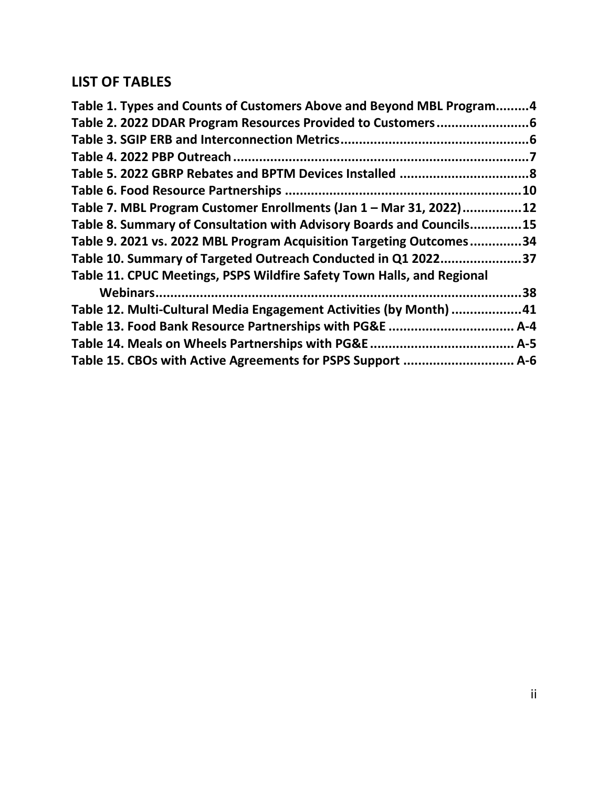# **LIST OF TABLES**

| Table 1. Types and Counts of Customers Above and Beyond MBL Program4   |           |
|------------------------------------------------------------------------|-----------|
|                                                                        |           |
|                                                                        |           |
|                                                                        |           |
|                                                                        |           |
|                                                                        | 10        |
| Table 7. MBL Program Customer Enrollments (Jan 1 - Mar 31, 2022)       | <b>12</b> |
| Table 8. Summary of Consultation with Advisory Boards and Councils15   |           |
| Table 9. 2021 vs. 2022 MBL Program Acquisition Targeting Outcomes34    |           |
| Table 10. Summary of Targeted Outreach Conducted in Q1 2022            | 37        |
| Table 11. CPUC Meetings, PSPS Wildfire Safety Town Halls, and Regional |           |
| Webinars                                                               | 38        |
| Table 12. Multi-Cultural Media Engagement Activities (by Month) 41     |           |
| Table 13. Food Bank Resource Partnerships with PG&E                    | . A-4     |
|                                                                        |           |
|                                                                        |           |
|                                                                        |           |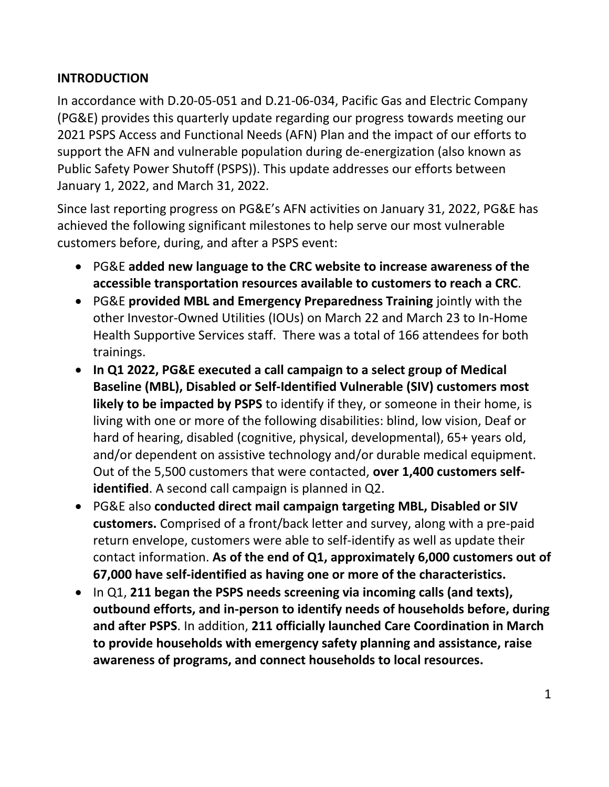#### <span id="page-5-0"></span>**INTRODUCTION**

In accordance with D.20-05-051 and D.21-06-034, Pacific Gas and Electric Company (PG&E) provides this quarterly update regarding our progress towards meeting our 2021 PSPS Access and Functional Needs (AFN) Plan and the impact of our efforts to support the AFN and vulnerable population during de-energization (also known as Public Safety Power Shutoff (PSPS)). This update addresses our efforts between January 1, 2022, and March 31, 2022.

Since last reporting progress on PG&E's AFN activities on January 31, 2022, PG&E has achieved the following significant milestones to help serve our most vulnerable customers before, during, and after a PSPS event:

- PG&E **added new language to the CRC website to increase awareness of the accessible transportation resources available to customers to reach a CRC**.
- PG&E **provided MBL and Emergency Preparedness Training** jointly with the other Investor-Owned Utilities (IOUs) on March 22 and March 23 to In-Home Health Supportive Services staff. There was a total of 166 attendees for both trainings.
- **In Q1 2022, PG&E executed a call campaign to a select group of Medical Baseline (MBL), Disabled or Self-Identified Vulnerable (SIV) customers most likely to be impacted by PSPS** to identify if they, or someone in their home, is living with one or more of the following disabilities: blind, low vision, Deaf or hard of hearing, disabled (cognitive, physical, developmental), 65+ years old, and/or dependent on assistive technology and/or durable medical equipment. Out of the 5,500 customers that were contacted, **over 1,400 customers selfidentified**. A second call campaign is planned in Q2.
- PG&E also **conducted direct mail campaign targeting MBL, Disabled or SIV customers.** Comprised of a front/back letter and survey, along with a pre-paid return envelope, customers were able to self-identify as well as update their contact information. **As of the end of Q1, approximately 6,000 customers out of 67,000 have self-identified as having one or more of the characteristics.**
- In Q1, **211 began the PSPS needs screening via incoming calls (and texts), outbound efforts, and in-person to identify needs of households before, during and after PSPS**. In addition, **211 officially launched Care Coordination in March to provide households with emergency safety planning and assistance, raise awareness of programs, and connect households to local resources.**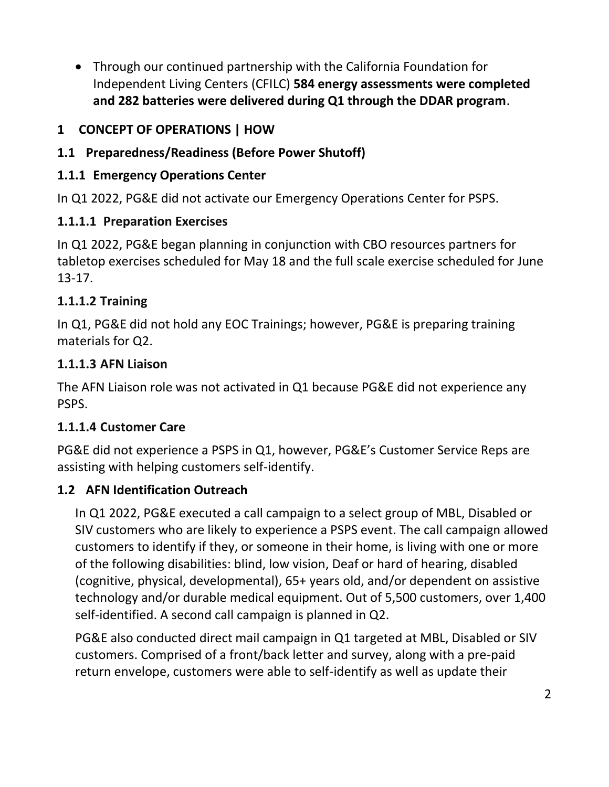• Through our continued partnership with the California Foundation for Independent Living Centers (CFILC) **584 energy assessments were completed and 282 batteries were delivered during Q1 through the DDAR program**.

## <span id="page-6-0"></span>**1 CONCEPT OF OPERATIONS | HOW**

## <span id="page-6-1"></span>**1.1 Preparedness/Readiness (Before Power Shutoff)**

#### <span id="page-6-2"></span>**1.1.1 Emergency Operations Center**

In Q1 2022, PG&E did not activate our Emergency Operations Center for PSPS.

### **1.1.1.1 Preparation Exercises**

In Q1 2022, PG&E began planning in conjunction with CBO resources partners for tabletop exercises scheduled for May 18 and the full scale exercise scheduled for June 13-17.

### **1.1.1.2 Training**

In Q1, PG&E did not hold any EOC Trainings; however, PG&E is preparing training materials for Q2.

#### **1.1.1.3 AFN Liaison**

The AFN Liaison role was not activated in Q1 because PG&E did not experience any PSPS.

### **1.1.1.4 Customer Care**

PG&E did not experience a PSPS in Q1, however, PG&E's Customer Service Reps are assisting with helping customers self-identify.

### <span id="page-6-3"></span>**1.2 AFN Identification Outreach**

In Q1 2022, PG&E executed a call campaign to a select group of MBL, Disabled or SIV customers who are likely to experience a PSPS event. The call campaign allowed customers to identify if they, or someone in their home, is living with one or more of the following disabilities: blind, low vision, Deaf or hard of hearing, disabled (cognitive, physical, developmental), 65+ years old, and/or dependent on assistive technology and/or durable medical equipment. Out of 5,500 customers, over 1,400 self-identified. A second call campaign is planned in Q2.

PG&E also conducted direct mail campaign in Q1 targeted at MBL, Disabled or SIV customers. Comprised of a front/back letter and survey, along with a pre-paid return envelope, customers were able to self-identify as well as update their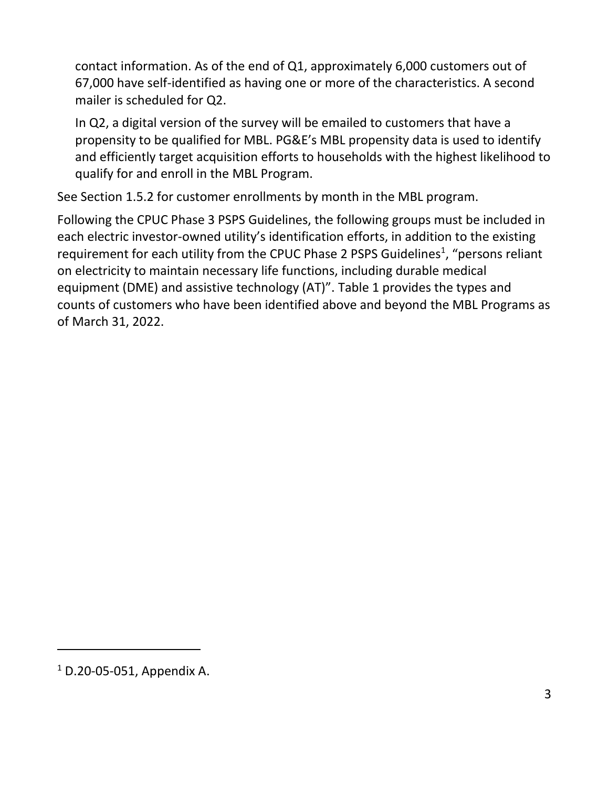contact information. As of the end of Q1, approximately 6,000 customers out of 67,000 have self-identified as having one or more of the characteristics. A second mailer is scheduled for Q2.

In Q2, a digital version of the survey will be emailed to customers that have a propensity to be qualified for MBL. PG&E's MBL propensity data is used to identify and efficiently target acquisition efforts to households with the highest likelihood to qualify for and enroll in the MBL Program.

See Section [1.5.2](#page-16-0) for customer enrollments by month in the MBL program.

Following the CPUC Phase 3 PSPS Guidelines, the following groups must be included in each electric investor-owned utility's identification efforts, in addition to the existing requirement for each utility from the CPUC Phase 2 PSPS Guidelines<sup>1</sup>, "persons reliant on electricity to maintain necessary life functions, including durable medical equipment (DME) and assistive technology (AT)". [Table 1](#page-8-1) provides the types and counts of customers who have been identified above and beyond the MBL Programs as of March 31, 2022.

<sup>1</sup> D.20-05-051, Appendix A.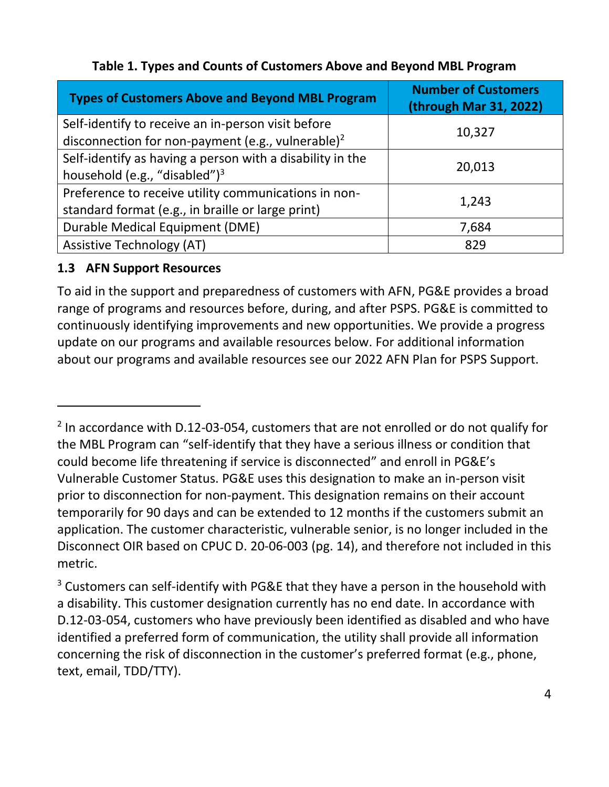<span id="page-8-1"></span>

| <b>Types of Customers Above and Beyond MBL Program</b>                                                              | <b>Number of Customers</b><br>(through Mar 31, 2022) |
|---------------------------------------------------------------------------------------------------------------------|------------------------------------------------------|
| Self-identify to receive an in-person visit before<br>disconnection for non-payment (e.g., vulnerable) <sup>2</sup> | 10,327                                               |
| Self-identify as having a person with a disability in the<br>household (e.g., "disabled") $3$                       | 20,013                                               |
| Preference to receive utility communications in non-<br>standard format (e.g., in braille or large print)           | 1,243                                                |
| Durable Medical Equipment (DME)                                                                                     | 7,684                                                |
| <b>Assistive Technology (AT)</b>                                                                                    | 829                                                  |

#### **Table 1. Types and Counts of Customers Above and Beyond MBL Program**

#### <span id="page-8-0"></span>**1.3 AFN Support Resources**

To aid in the support and preparedness of customers with AFN, PG&E provides a broad range of programs and resources before, during, and after PSPS. PG&E is committed to continuously identifying improvements and new opportunities. We provide a progress update on our programs and available resources below. For additional information about our programs and available resources see our 2022 AFN Plan for PSPS Support.

 $2$  In accordance with D.12-03-054, customers that are not enrolled or do not qualify for the MBL Program can "self-identify that they have a serious illness or condition that could become life threatening if service is disconnected" and enroll in PG&E's Vulnerable Customer Status. PG&E uses this designation to make an in-person visit prior to disconnection for non-payment. This designation remains on their account temporarily for 90 days and can be extended to 12 months if the customers submit an application. The customer characteristic, vulnerable senior, is no longer included in the Disconnect OIR based on CPUC D. 20-06-003 (pg. 14), and therefore not included in this metric.

 $3$  Customers can self-identify with PG&E that they have a person in the household with a disability. This customer designation currently has no end date. In accordance with D.12-03-054, customers who have previously been identified as disabled and who have identified a preferred form of communication, the utility shall provide all information concerning the risk of disconnection in the customer's preferred format (e.g., phone, text, email, TDD/TTY).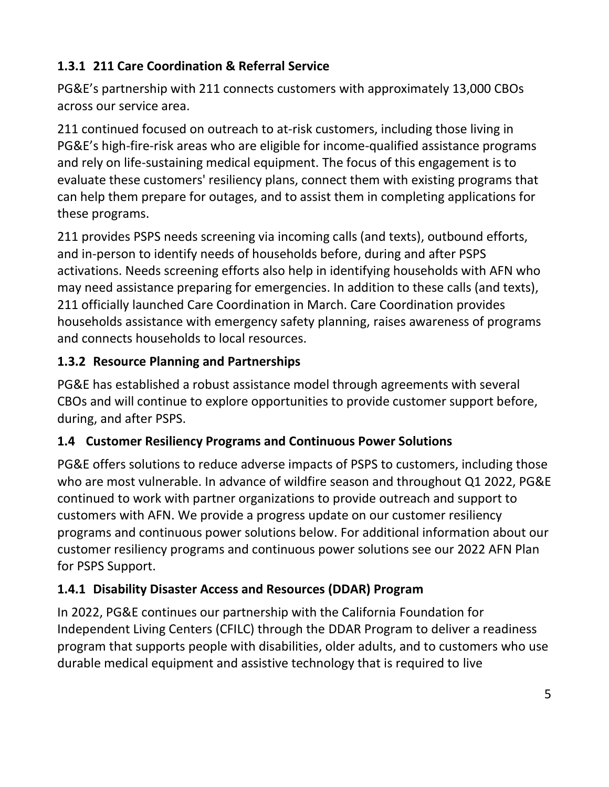## <span id="page-9-0"></span>**1.3.1 211 Care Coordination & Referral Service**

PG&E's partnership with 211 connects customers with approximately 13,000 CBOs across our service area.

211 continued focused on outreach to at-risk customers, including those living in PG&E's high-fire-risk areas who are eligible for income-qualified assistance programs and rely on life-sustaining medical equipment. The focus of this engagement is to evaluate these customers' resiliency plans, connect them with existing programs that can help them prepare for outages, and to assist them in completing applications for these programs.

211 provides PSPS needs screening via incoming calls (and texts), outbound efforts, and in-person to identify needs of households before, during and after PSPS activations. Needs screening efforts also help in identifying households with AFN who may need assistance preparing for emergencies. In addition to these calls (and texts), 211 officially launched Care Coordination in March. Care Coordination provides households assistance with emergency safety planning, raises awareness of programs and connects households to local resources.

### <span id="page-9-1"></span>**1.3.2 Resource Planning and Partnerships**

PG&E has established a robust assistance model through agreements with several CBOs and will continue to explore opportunities to provide customer support before, during, and after PSPS.

### <span id="page-9-2"></span>**1.4 Customer Resiliency Programs and Continuous Power Solutions**

PG&E offers solutions to reduce adverse impacts of PSPS to customers, including those who are most vulnerable. In advance of wildfire season and throughout Q1 2022, PG&E continued to work with partner organizations to provide outreach and support to customers with AFN. We provide a progress update on our customer resiliency programs and continuous power solutions below. For additional information about our customer resiliency programs and continuous power solutions see our 2022 AFN Plan for PSPS Support.

### <span id="page-9-3"></span>**1.4.1 Disability Disaster Access and Resources (DDAR) Program**

In 2022, PG&E continues our partnership with the California Foundation for Independent Living Centers (CFILC) through the DDAR Program to deliver a readiness program that supports people with disabilities, older adults, and to customers who use durable medical equipment and assistive technology that is required to live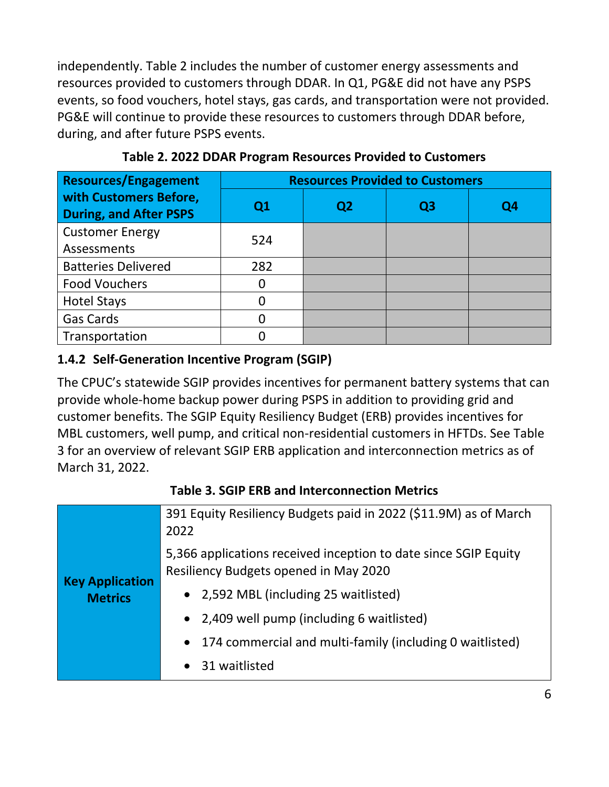independently. [Table 2](#page-10-1) includes the number of customer energy assessments and resources provided to customers through DDAR. In Q1, PG&E did not have any PSPS events, so food vouchers, hotel stays, gas cards, and transportation were not provided. PG&E will continue to provide these resources to customers through DDAR before, during, and after future PSPS events.

<span id="page-10-1"></span>

| <b>Resources/Engagement</b>                             | <b>Resources Provided to Customers</b> |    |    |    |
|---------------------------------------------------------|----------------------------------------|----|----|----|
| with Customers Before,<br><b>During, and After PSPS</b> | Q <sub>1</sub>                         | Q2 | Q3 | Q4 |
| <b>Customer Energy</b>                                  | 524                                    |    |    |    |
| Assessments                                             |                                        |    |    |    |
| <b>Batteries Delivered</b>                              | 282                                    |    |    |    |
| <b>Food Vouchers</b>                                    |                                        |    |    |    |
| <b>Hotel Stays</b>                                      |                                        |    |    |    |
| <b>Gas Cards</b>                                        |                                        |    |    |    |
| Transportation                                          |                                        |    |    |    |

**Table 2. 2022 DDAR Program Resources Provided to Customers**

#### <span id="page-10-0"></span>**1.4.2 Self-Generation Incentive Program (SGIP)**

The CPUC's statewide SGIP provides incentives for permanent battery systems that can provide whole-home backup power during PSPS in addition to providing grid and customer benefits. The SGIP Equity Resiliency Budget (ERB) provides incentives for MBL customers, well pump, and critical non-residential customers in HFTDs. See [Table](#page-10-2)  [3](#page-10-2) for an overview of relevant SGIP ERB application and interconnection metrics as of March 31, 2022.

<span id="page-10-2"></span>

|                        | 391 Equity Resiliency Budgets paid in 2022 (\$11.9M) as of March<br>2022                                 |
|------------------------|----------------------------------------------------------------------------------------------------------|
| <b>Key Application</b> | 5,366 applications received inception to date since SGIP Equity<br>Resiliency Budgets opened in May 2020 |
| <b>Metrics</b>         | • 2,592 MBL (including 25 waitlisted)                                                                    |
|                        | • 2,409 well pump (including 6 waitlisted)                                                               |
|                        | 174 commercial and multi-family (including 0 waitlisted)<br>$\bullet$                                    |
|                        | • 31 waitlisted                                                                                          |

#### **Table 3. SGIP ERB and Interconnection Metrics**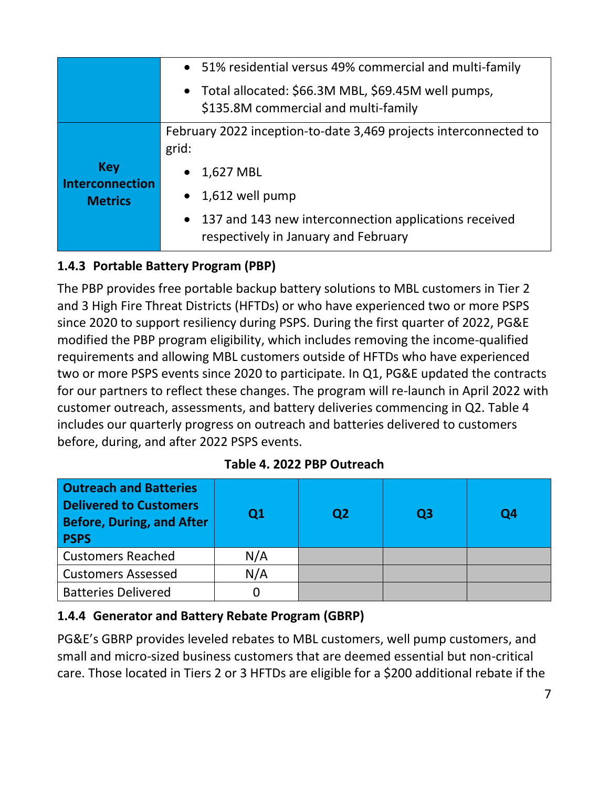|                                                        | • 51% residential versus 49% commercial and multi-family                                                                                                                                    |
|--------------------------------------------------------|---------------------------------------------------------------------------------------------------------------------------------------------------------------------------------------------|
|                                                        | • Total allocated: \$66.3M MBL, \$69.45M well pumps,<br>\$135.8M commercial and multi-family                                                                                                |
| <b>Key</b><br><b>Interconnection</b><br><b>Metrics</b> | February 2022 inception-to-date 3,469 projects interconnected to<br>grid:<br>1,627 MBL<br>$\bullet$<br>$\bullet$ 1,612 well pump<br>• 137 and 143 new interconnection applications received |
|                                                        | respectively in January and February                                                                                                                                                        |

# <span id="page-11-0"></span>**1.4.3 Portable Battery Program (PBP)**

The PBP provides free portable backup battery solutions to MBL customers in Tier 2 and 3 High Fire Threat Districts (HFTDs) or who have experienced two or more PSPS since 2020 to support resiliency during PSPS. During the first quarter of 2022, PG&E modified the PBP program eligibility, which includes removing the income-qualified requirements and allowing MBL customers outside of HFTDs who have experienced two or more PSPS events since 2020 to participate. In Q1, PG&E updated the contracts for our partners to reflect these changes. The program will re-launch in April 2022 with customer outreach, assessments, and battery deliveries commencing in Q2. [Table 4](#page-11-2) includes our quarterly progress on outreach and batteries delivered to customers before, during, and after 2022 PSPS events.

<span id="page-11-2"></span>

| <b>Outreach and Batteries</b><br><b>Delivered to Customers</b><br><b>Before, During, and After</b><br><b>PSPS</b> | Q <sub>1</sub> | Q <sub>2</sub> | Q3 | Q4 |
|-------------------------------------------------------------------------------------------------------------------|----------------|----------------|----|----|
| <b>Customers Reached</b>                                                                                          | N/A            |                |    |    |
| <b>Customers Assessed</b>                                                                                         | N/A            |                |    |    |
| <b>Batteries Delivered</b>                                                                                        |                |                |    |    |

#### **Table 4. 2022 PBP Outreach**

#### <span id="page-11-1"></span>**1.4.4 Generator and Battery Rebate Program (GBRP)**

PG&E's GBRP provides leveled rebates to MBL customers, well pump customers, and small and micro-sized business customers that are deemed essential but non-critical care. Those located in Tiers 2 or 3 HFTDs are eligible for a \$200 additional rebate if the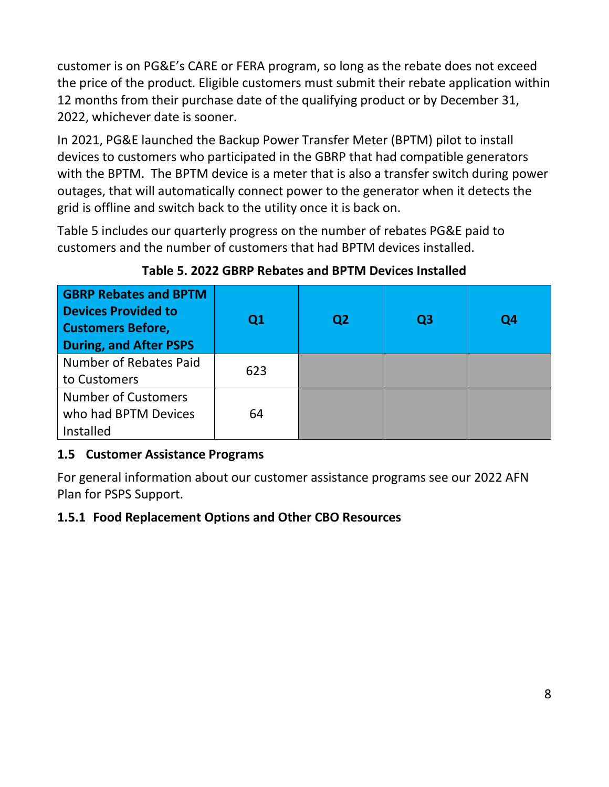customer is on PG&E's CARE or FERA program, so long as the rebate does not exceed the price of the product. Eligible customers must submit their rebate application within 12 months from their purchase date of the qualifying product or by December 31, 2022, whichever date is sooner.

In 2021, PG&E launched the Backup Power Transfer Meter (BPTM) pilot to install devices to customers who participated in the GBRP that had compatible generators with the BPTM. The BPTM device is a meter that is also a transfer switch during power outages, that will automatically connect power to the generator when it detects the grid is offline and switch back to the utility once it is back on.

[Table 5](#page-12-2) includes our quarterly progress on the number of rebates PG&E paid to customers and the number of customers that had BPTM devices installed.

<span id="page-12-2"></span>

| <b>GBRP Rebates and BPTM</b><br><b>Devices Provided to</b><br><b>Customers Before,</b><br><b>During, and After PSPS</b> | Q1  | Q <sub>2</sub> | Q <sub>3</sub> | Q <sub>4</sub> |
|-------------------------------------------------------------------------------------------------------------------------|-----|----------------|----------------|----------------|
| Number of Rebates Paid                                                                                                  | 623 |                |                |                |
| to Customers                                                                                                            |     |                |                |                |
| <b>Number of Customers</b>                                                                                              |     |                |                |                |
| who had BPTM Devices                                                                                                    | 64  |                |                |                |
| Installed                                                                                                               |     |                |                |                |

**Table 5. 2022 GBRP Rebates and BPTM Devices Installed**

### <span id="page-12-0"></span>**1.5 Customer Assistance Programs**

For general information about our customer assistance programs see our 2022 AFN Plan for PSPS Support.

#### <span id="page-12-1"></span>**1.5.1 Food Replacement Options and Other CBO Resources**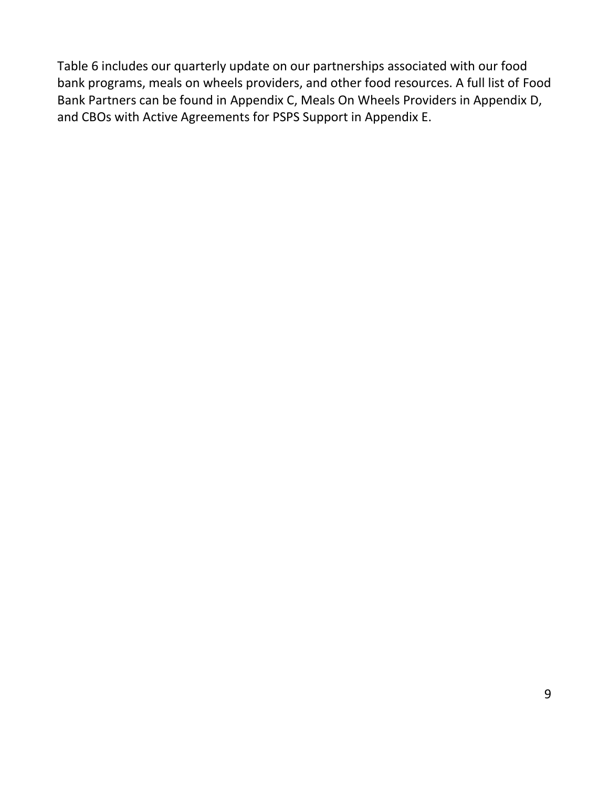<span id="page-13-0"></span>[Table](#page-13-0) 6 includes our quarterly update on our partnerships associated with our food bank programs, meals on wheels providers, and other food resources. A full list of Food Bank Partners can be found in Appendix C, Meals On Wheels Providers in Appendix D, and CBOs with Active Agreements for PSPS Support in Appendix E.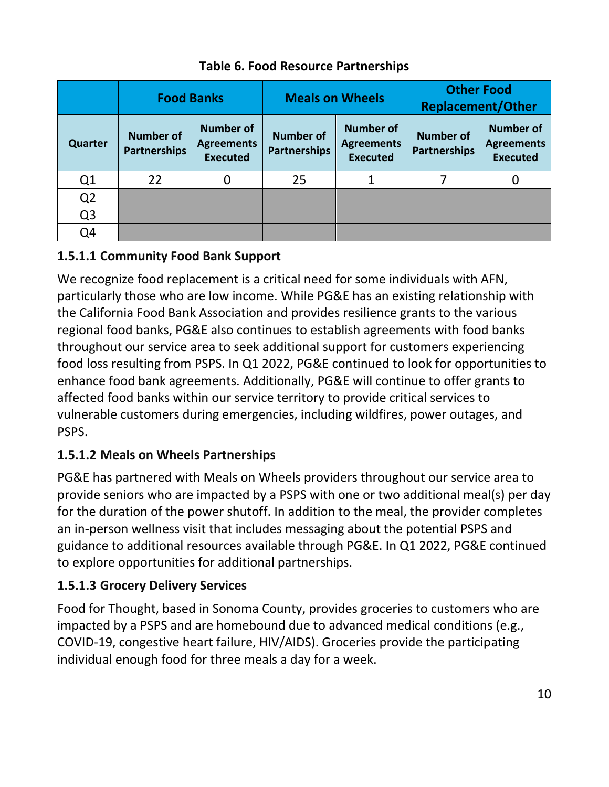<span id="page-14-0"></span>

|                | <b>Food Banks</b>                       |                                                          | <b>Meals on Wheels</b>                  |                                                          | <b>Other Food</b><br><b>Replacement/Other</b> |                                                          |
|----------------|-----------------------------------------|----------------------------------------------------------|-----------------------------------------|----------------------------------------------------------|-----------------------------------------------|----------------------------------------------------------|
| <b>Quarter</b> | <b>Number of</b><br><b>Partnerships</b> | <b>Number of</b><br><b>Agreements</b><br><b>Executed</b> | <b>Number of</b><br><b>Partnerships</b> | <b>Number of</b><br><b>Agreements</b><br><b>Executed</b> | <b>Number of</b><br><b>Partnerships</b>       | <b>Number of</b><br><b>Agreements</b><br><b>Executed</b> |
| Q <sub>1</sub> | 22                                      | 0                                                        | 25                                      |                                                          |                                               |                                                          |
| Q <sub>2</sub> |                                         |                                                          |                                         |                                                          |                                               |                                                          |
| Q <sub>3</sub> |                                         |                                                          |                                         |                                                          |                                               |                                                          |
| Q4             |                                         |                                                          |                                         |                                                          |                                               |                                                          |

### **Table 6. Food Resource Partnerships**

### **1.5.1.1 Community Food Bank Support**

We recognize food replacement is a critical need for some individuals with AFN, particularly those who are low income. While PG&E has an existing relationship with the California Food Bank Association and provides resilience grants to the various regional food banks, PG&E also continues to establish agreements with food banks throughout our service area to seek additional support for customers experiencing food loss resulting from PSPS. In Q1 2022, PG&E continued to look for opportunities to enhance food bank agreements. Additionally, PG&E will continue to offer grants to affected food banks within our service territory to provide critical services to vulnerable customers during emergencies, including wildfires, power outages, and PSPS.

### **1.5.1.2 Meals on Wheels Partnerships**

PG&E has partnered with Meals on Wheels providers throughout our service area to provide seniors who are impacted by a PSPS with one or two additional meal(s) per day for the duration of the power shutoff. In addition to the meal, the provider completes an in-person wellness visit that includes messaging about the potential PSPS and guidance to additional resources available through PG&E. In Q1 2022, PG&E continued to explore opportunities for additional partnerships.

#### **1.5.1.3 Grocery Delivery Services**

Food for Thought, based in Sonoma County, provides groceries to customers who are impacted by a PSPS and are homebound due to advanced medical conditions (e.g., COVID-19, congestive heart failure, HIV/AIDS). Groceries provide the participating individual enough food for three meals a day for a week.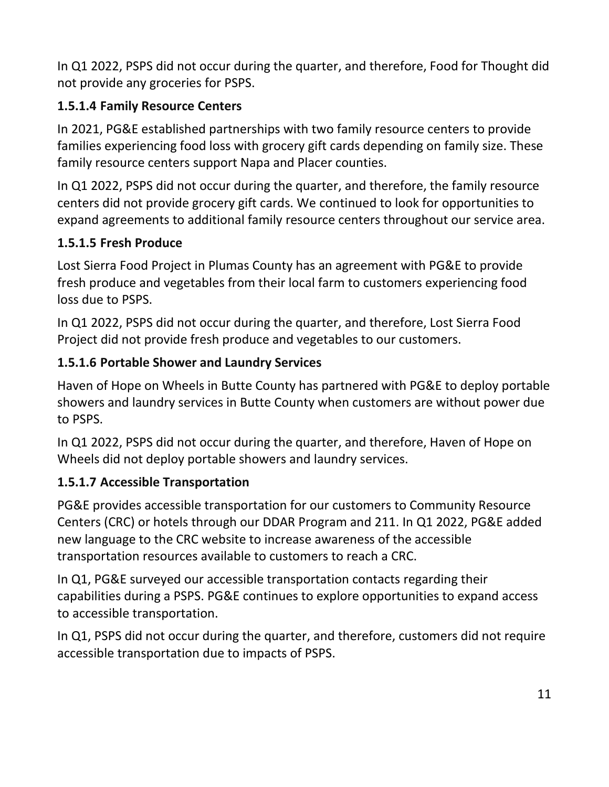In Q1 2022, PSPS did not occur during the quarter, and therefore, Food for Thought did not provide any groceries for PSPS.

# **1.5.1.4 Family Resource Centers**

In 2021, PG&E established partnerships with two family resource centers to provide families experiencing food loss with grocery gift cards depending on family size. These family resource centers support Napa and Placer counties.

In Q1 2022, PSPS did not occur during the quarter, and therefore, the family resource centers did not provide grocery gift cards. We continued to look for opportunities to expand agreements to additional family resource centers throughout our service area.

## **1.5.1.5 Fresh Produce**

Lost Sierra Food Project in Plumas County has an agreement with PG&E to provide fresh produce and vegetables from their local farm to customers experiencing food loss due to PSPS.

In Q1 2022, PSPS did not occur during the quarter, and therefore, Lost Sierra Food Project did not provide fresh produce and vegetables to our customers.

## **1.5.1.6 Portable Shower and Laundry Services**

Haven of Hope on Wheels in Butte County has partnered with PG&E to deploy portable showers and laundry services in Butte County when customers are without power due to PSPS.

In Q1 2022, PSPS did not occur during the quarter, and therefore, Haven of Hope on Wheels did not deploy portable showers and laundry services.

# **1.5.1.7 Accessible Transportation**

PG&E provides accessible transportation for our customers to Community Resource Centers (CRC) or hotels through our DDAR Program and 211. In Q1 2022, PG&E added new language to the CRC website to increase awareness of the accessible transportation resources available to customers to reach a CRC.

In Q1, PG&E surveyed our accessible transportation contacts regarding their capabilities during a PSPS. PG&E continues to explore opportunities to expand access to accessible transportation.

In Q1, PSPS did not occur during the quarter, and therefore, customers did not require accessible transportation due to impacts of PSPS.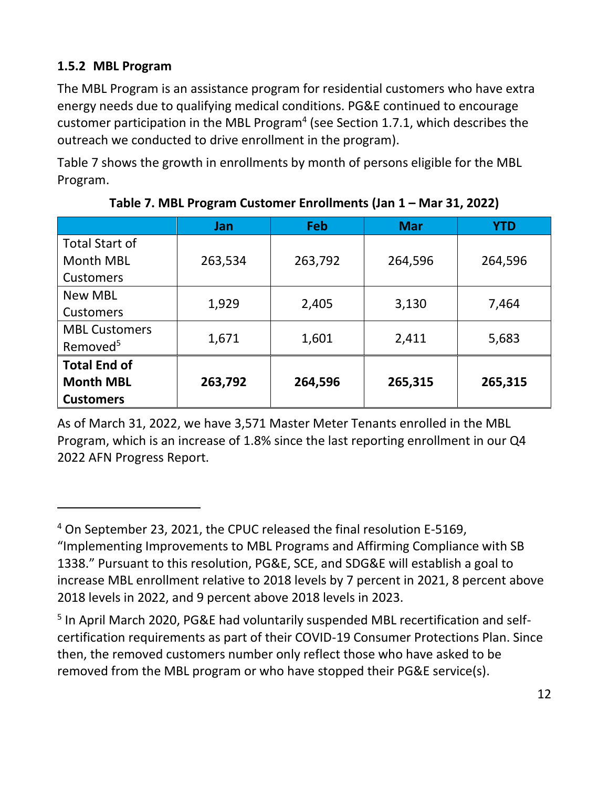#### <span id="page-16-0"></span>**1.5.2 MBL Program**

The MBL Program is an assistance program for residential customers who have extra energy needs due to qualifying medical conditions. PG&E continued to encourage customer participation in the MBL Program<sup>4</sup> (see Section [1.7.1,](#page-37-2) which describes the outreach we conducted to drive enrollment in the program).

[Table 7](#page-16-1) shows the growth in enrollments by month of persons eligible for the MBL Program.

<span id="page-16-1"></span>

|                       | <b>Jan</b> | <b>Feb</b> | <b>Mar</b> | <b>YTD</b> |
|-----------------------|------------|------------|------------|------------|
| <b>Total Start of</b> |            |            |            |            |
| <b>Month MBL</b>      | 263,534    | 263,792    | 264,596    | 264,596    |
| <b>Customers</b>      |            |            |            |            |
| <b>New MBL</b>        | 1,929      |            | 3,130      | 7,464      |
| Customers             |            | 2,405      |            |            |
| <b>MBL Customers</b>  | 1,671      | 1,601      | 2,411      | 5,683      |
| Removed <sup>5</sup>  |            |            |            |            |
| <b>Total End of</b>   |            |            |            |            |
| <b>Month MBL</b>      | 263,792    | 264,596    | 265,315    | 265,315    |
| <b>Customers</b>      |            |            |            |            |

**Table 7. MBL Program Customer Enrollments (Jan 1 – Mar 31, 2022)**

As of March 31, 2022, we have 3,571 Master Meter Tenants enrolled in the MBL Program, which is an increase of 1.8% since the last reporting enrollment in our Q4 2022 AFN Progress Report.

<sup>4</sup> On September 23, 2021, the CPUC released the final resolution E-5169, "Implementing Improvements to MBL Programs and Affirming Compliance with SB 1338." Pursuant to this resolution, PG&E, SCE, and SDG&E will establish a goal to increase MBL enrollment relative to 2018 levels by 7 percent in 2021, 8 percent above 2018 levels in 2022, and 9 percent above 2018 levels in 2023.

<sup>&</sup>lt;sup>5</sup> In April March 2020, PG&E had voluntarily suspended MBL recertification and selfcertification requirements as part of their COVID-19 Consumer Protections Plan. Since then, the removed customers number only reflect those who have asked to be removed from the MBL program or who have stopped their PG&E service(s).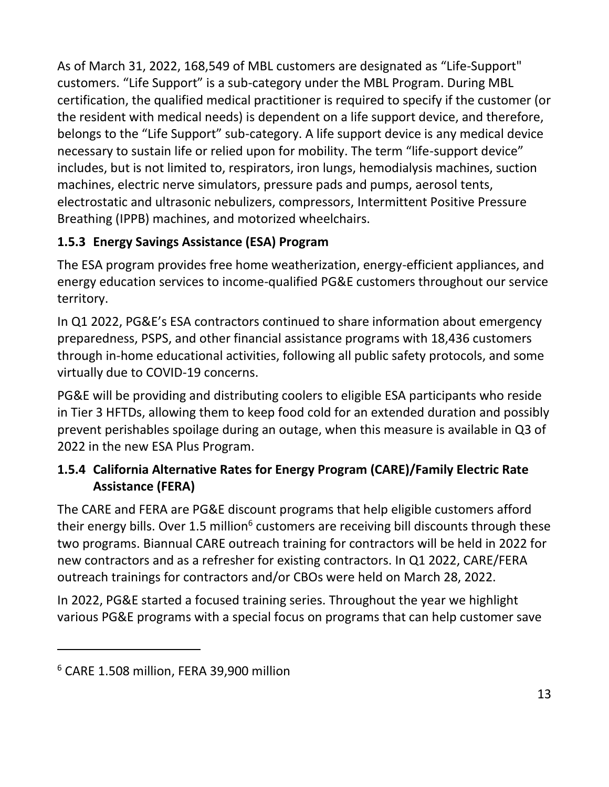As of March 31, 2022, 168,549 of MBL customers are designated as "Life-Support" customers. "Life Support" is a sub-category under the MBL Program. During MBL certification, the qualified medical practitioner is required to specify if the customer (or the resident with medical needs) is dependent on a life support device, and therefore, belongs to the "Life Support" sub-category. A life support device is any medical device necessary to sustain life or relied upon for mobility. The term "life-support device" includes, but is not limited to, respirators, iron lungs, hemodialysis machines, suction machines, electric nerve simulators, pressure pads and pumps, aerosol tents, electrostatic and ultrasonic nebulizers, compressors, Intermittent Positive Pressure Breathing (IPPB) machines, and motorized wheelchairs.

# <span id="page-17-0"></span>**1.5.3 Energy Savings Assistance (ESA) Program**

The ESA program provides free home weatherization, energy-efficient appliances, and energy education services to income-qualified PG&E customers throughout our service territory.

In Q1 2022, PG&E's ESA contractors continued to share information about emergency preparedness, PSPS, and other financial assistance programs with 18,436 customers through in-home educational activities, following all public safety protocols, and some virtually due to COVID-19 concerns.

PG&E will be providing and distributing coolers to eligible ESA participants who reside in Tier 3 HFTDs, allowing them to keep food cold for an extended duration and possibly prevent perishables spoilage during an outage, when this measure is available in Q3 of 2022 in the new ESA Plus Program.

## <span id="page-17-1"></span>**1.5.4 California Alternative Rates for Energy Program (CARE)/Family Electric Rate Assistance (FERA)**

The CARE and FERA are PG&E discount programs that help eligible customers afford their energy bills. Over 1.5 million<sup>6</sup> customers are receiving bill discounts through these two programs. Biannual CARE outreach training for contractors will be held in 2022 for new contractors and as a refresher for existing contractors. In Q1 2022, CARE/FERA outreach trainings for contractors and/or CBOs were held on March 28, 2022.

In 2022, PG&E started a focused training series. Throughout the year we highlight various PG&E programs with a special focus on programs that can help customer save

<sup>6</sup> CARE 1.508 million, FERA 39,900 million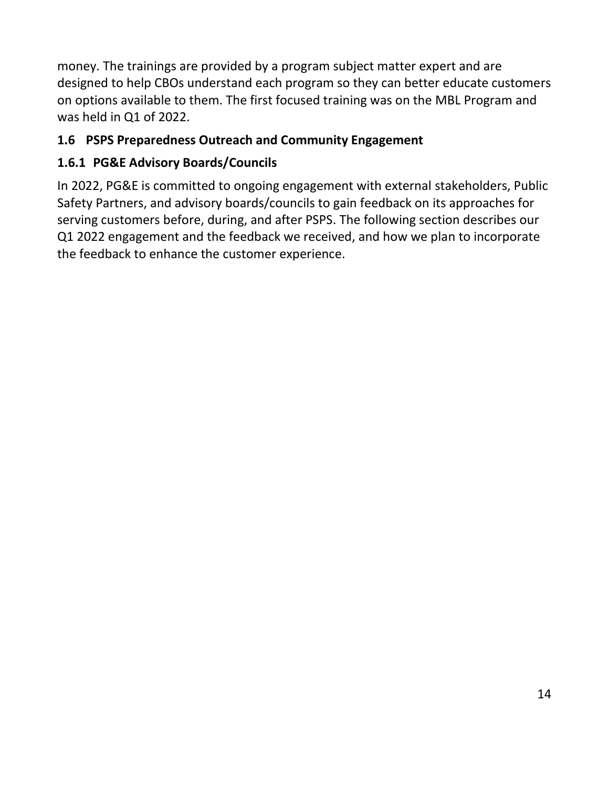money. The trainings are provided by a program subject matter expert and are designed to help CBOs understand each program so they can better educate customers on options available to them. The first focused training was on the MBL Program and was held in Q1 of 2022.

## <span id="page-18-0"></span>**1.6 PSPS Preparedness Outreach and Community Engagement**

# <span id="page-18-1"></span>**1.6.1 PG&E Advisory Boards/Councils**

In 2022, PG&E is committed to ongoing engagement with external stakeholders, Public Safety Partners, and advisory boards/councils to gain feedback on its approaches for serving customers before, during, and after PSPS. The following section describes our Q1 2022 engagement and the feedback we received, and how we plan to incorporate the feedback to enhance the customer experience.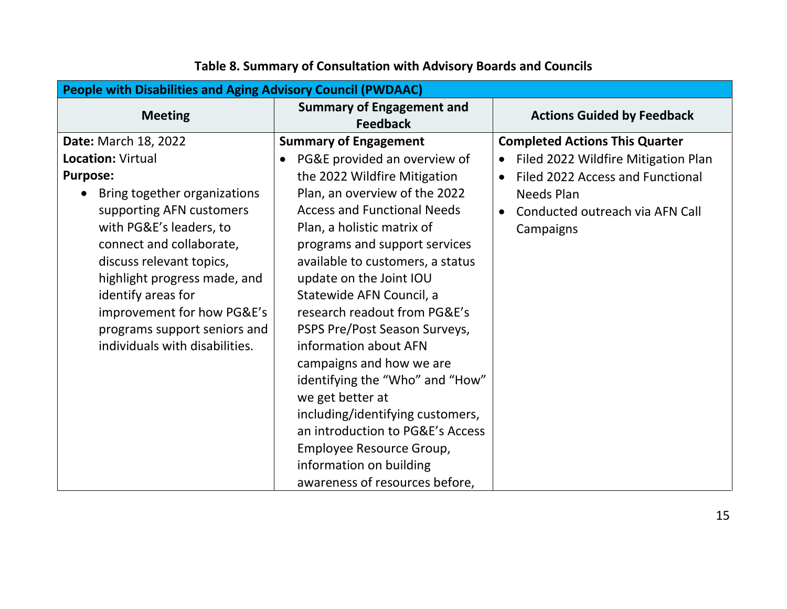<span id="page-19-0"></span>

| <b>People with Disabilities and Aging Advisory Council (PWDAAC)</b> |                                                     |                                       |  |  |
|---------------------------------------------------------------------|-----------------------------------------------------|---------------------------------------|--|--|
| <b>Meeting</b>                                                      | <b>Summary of Engagement and</b><br><b>Feedback</b> | <b>Actions Guided by Feedback</b>     |  |  |
| <b>Date: March 18, 2022</b>                                         | <b>Summary of Engagement</b>                        | <b>Completed Actions This Quarter</b> |  |  |
| <b>Location: Virtual</b>                                            | PG&E provided an overview of<br>$\bullet$           | Filed 2022 Wildfire Mitigation Plan   |  |  |
| <b>Purpose:</b>                                                     | the 2022 Wildfire Mitigation                        | Filed 2022 Access and Functional      |  |  |
| Bring together organizations                                        | Plan, an overview of the 2022                       | <b>Needs Plan</b>                     |  |  |
| supporting AFN customers                                            | <b>Access and Functional Needs</b>                  | Conducted outreach via AFN Call       |  |  |
| with PG&E's leaders, to                                             | Plan, a holistic matrix of                          | Campaigns                             |  |  |
| connect and collaborate,                                            | programs and support services                       |                                       |  |  |
| discuss relevant topics,                                            | available to customers, a status                    |                                       |  |  |
| highlight progress made, and                                        | update on the Joint IOU                             |                                       |  |  |
| identify areas for                                                  | Statewide AFN Council, a                            |                                       |  |  |
| improvement for how PG&E's                                          | research readout from PG&E's                        |                                       |  |  |
| programs support seniors and                                        | PSPS Pre/Post Season Surveys,                       |                                       |  |  |
| individuals with disabilities.                                      | information about AFN                               |                                       |  |  |
|                                                                     | campaigns and how we are                            |                                       |  |  |
|                                                                     | identifying the "Who" and "How"                     |                                       |  |  |
|                                                                     | we get better at                                    |                                       |  |  |
|                                                                     | including/identifying customers,                    |                                       |  |  |
|                                                                     | an introduction to PG&E's Access                    |                                       |  |  |
|                                                                     | Employee Resource Group,                            |                                       |  |  |
|                                                                     | information on building                             |                                       |  |  |
|                                                                     | awareness of resources before,                      |                                       |  |  |

# **Table 8. Summary of Consultation with Advisory Boards and Councils**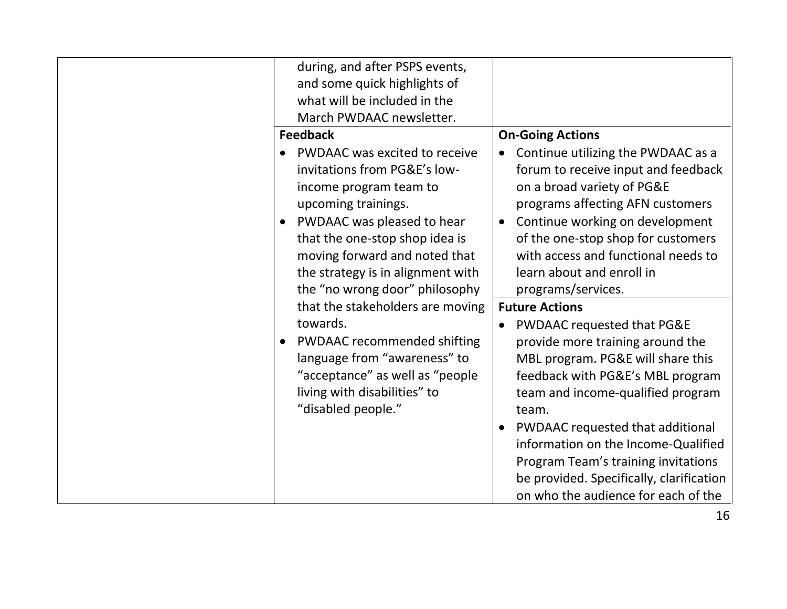| during, and after PSPS events,<br>and some quick highlights of<br>what will be included in the<br>March PWDAAC newsletter.                                                                                                                                                             |                                                                                                                                                                                                                                                                                                                                                              |
|----------------------------------------------------------------------------------------------------------------------------------------------------------------------------------------------------------------------------------------------------------------------------------------|--------------------------------------------------------------------------------------------------------------------------------------------------------------------------------------------------------------------------------------------------------------------------------------------------------------------------------------------------------------|
| <b>Feedback</b>                                                                                                                                                                                                                                                                        | <b>On-Going Actions</b>                                                                                                                                                                                                                                                                                                                                      |
| PWDAAC was excited to receive<br>invitations from PG&E's low-<br>income program team to<br>upcoming trainings.<br>PWDAAC was pleased to hear<br>that the one-stop shop idea is<br>moving forward and noted that<br>the strategy is in alignment with<br>the "no wrong door" philosophy | Continue utilizing the PWDAAC as a<br>forum to receive input and feedback<br>on a broad variety of PG&E<br>programs affecting AFN customers<br>Continue working on development<br>of the one-stop shop for customers<br>with access and functional needs to<br>learn about and enroll in<br>programs/services.                                               |
| that the stakeholders are moving                                                                                                                                                                                                                                                       | <b>Future Actions</b>                                                                                                                                                                                                                                                                                                                                        |
| towards.                                                                                                                                                                                                                                                                               | PWDAAC requested that PG&E                                                                                                                                                                                                                                                                                                                                   |
| <b>PWDAAC</b> recommended shifting<br>language from "awareness" to<br>"acceptance" as well as "people<br>living with disabilities" to<br>"disabled people."                                                                                                                            | provide more training around the<br>MBL program. PG&E will share this<br>feedback with PG&E's MBL program<br>team and income-qualified program<br>team.<br>PWDAAC requested that additional<br>information on the Income-Qualified<br>Program Team's training invitations<br>be provided. Specifically, clarification<br>on who the audience for each of the |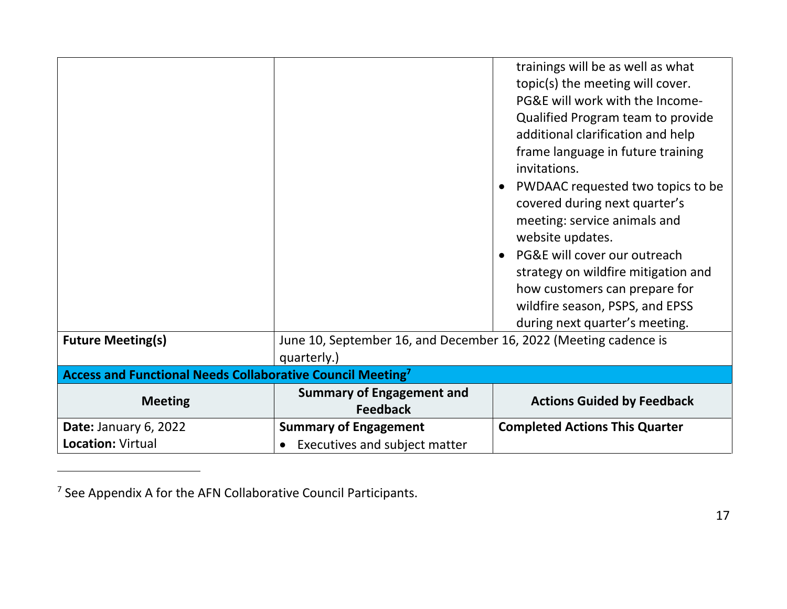|                                                                        |                                                                                 | trainings will be as well as what<br>topic(s) the meeting will cover.<br>PG&E will work with the Income-<br>Qualified Program team to provide<br>additional clarification and help<br>frame language in future training<br>invitations.<br>PWDAAC requested two topics to be<br>covered during next quarter's<br>meeting: service animals and<br>website updates.<br>PG&E will cover our outreach<br>strategy on wildfire mitigation and<br>how customers can prepare for<br>wildfire season, PSPS, and EPSS<br>during next quarter's meeting. |
|------------------------------------------------------------------------|---------------------------------------------------------------------------------|------------------------------------------------------------------------------------------------------------------------------------------------------------------------------------------------------------------------------------------------------------------------------------------------------------------------------------------------------------------------------------------------------------------------------------------------------------------------------------------------------------------------------------------------|
| <b>Future Meeting(s)</b>                                               | June 10, September 16, and December 16, 2022 (Meeting cadence is<br>quarterly.) |                                                                                                                                                                                                                                                                                                                                                                                                                                                                                                                                                |
| Access and Functional Needs Collaborative Council Meeting <sup>7</sup> |                                                                                 |                                                                                                                                                                                                                                                                                                                                                                                                                                                                                                                                                |
| <b>Meeting</b>                                                         | <b>Summary of Engagement and</b><br><b>Feedback</b>                             | <b>Actions Guided by Feedback</b>                                                                                                                                                                                                                                                                                                                                                                                                                                                                                                              |
| Date: January 6, 2022<br>Location: Virtual                             | <b>Summary of Engagement</b><br>• Executives and subject matter                 | <b>Completed Actions This Quarter</b>                                                                                                                                                                                                                                                                                                                                                                                                                                                                                                          |

<sup>&</sup>lt;sup>7</sup> See Appendix A for the AFN Collaborative Council Participants.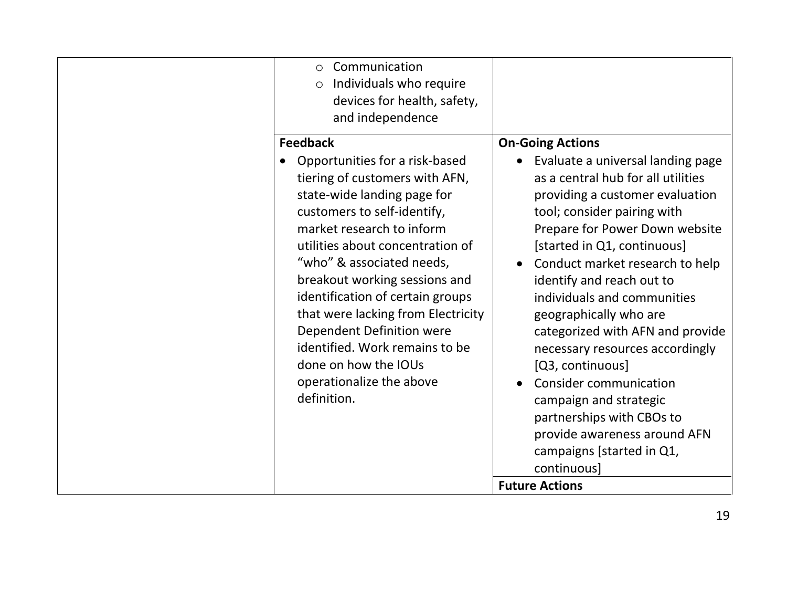| Communication<br>$\circ$<br>Individuals who require<br>$\circlearrowright$<br>devices for health, safety,<br>and independence                                                                                                                                                                                                                                                                                                                                                                |                                                                                                                                                                                                                                                                                                                                                                                                                                                                                                                                                                                                                                                        |
|----------------------------------------------------------------------------------------------------------------------------------------------------------------------------------------------------------------------------------------------------------------------------------------------------------------------------------------------------------------------------------------------------------------------------------------------------------------------------------------------|--------------------------------------------------------------------------------------------------------------------------------------------------------------------------------------------------------------------------------------------------------------------------------------------------------------------------------------------------------------------------------------------------------------------------------------------------------------------------------------------------------------------------------------------------------------------------------------------------------------------------------------------------------|
| <b>Feedback</b><br>Opportunities for a risk-based<br>tiering of customers with AFN,<br>state-wide landing page for<br>customers to self-identify,<br>market research to inform<br>utilities about concentration of<br>"who" & associated needs,<br>breakout working sessions and<br>identification of certain groups<br>that were lacking from Electricity<br>Dependent Definition were<br>identified. Work remains to be<br>done on how the IOUs<br>operationalize the above<br>definition. | <b>On-Going Actions</b><br>Evaluate a universal landing page<br>as a central hub for all utilities<br>providing a customer evaluation<br>tool; consider pairing with<br>Prepare for Power Down website<br>[started in Q1, continuous]<br>Conduct market research to help<br>identify and reach out to<br>individuals and communities<br>geographically who are<br>categorized with AFN and provide<br>necessary resources accordingly<br>[Q3, continuous]<br><b>Consider communication</b><br>campaign and strategic<br>partnerships with CBOs to<br>provide awareness around AFN<br>campaigns [started in Q1,<br>continuous]<br><b>Future Actions</b> |
|                                                                                                                                                                                                                                                                                                                                                                                                                                                                                              |                                                                                                                                                                                                                                                                                                                                                                                                                                                                                                                                                                                                                                                        |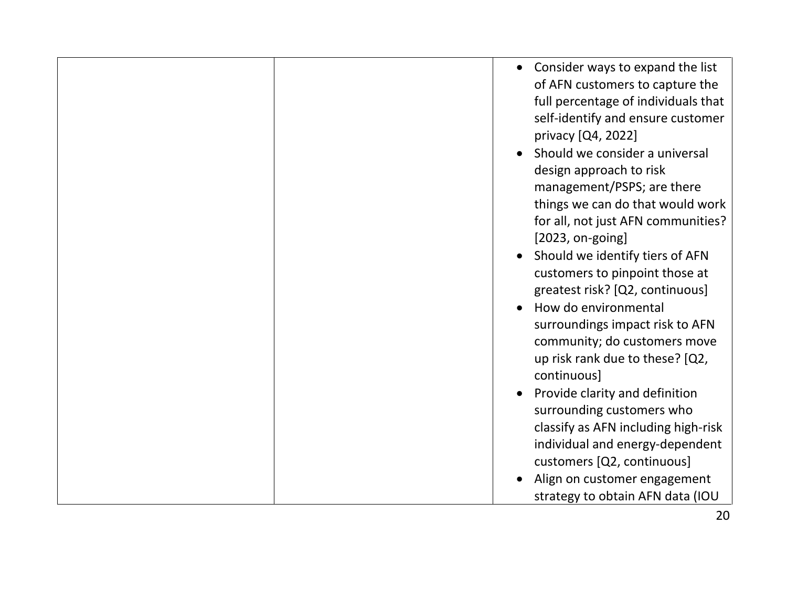|  | • Consider ways to expand the list<br>of AFN customers to capture the<br>full percentage of individuals that<br>self-identify and ensure customer<br>privacy [Q4, 2022]<br>Should we consider a universal<br>design approach to risk<br>management/PSPS; are there<br>things we can do that would work<br>for all, not just AFN communities?<br>$[2023, on-going]$<br>Should we identify tiers of AFN<br>customers to pinpoint those at<br>greatest risk? [Q2, continuous]<br>How do environmental<br>surroundings impact risk to AFN<br>community; do customers move<br>up risk rank due to these? [Q2,<br>continuous]<br>Provide clarity and definition<br>surrounding customers who<br>classify as AFN including high-risk<br>individual and energy-dependent |
|--|------------------------------------------------------------------------------------------------------------------------------------------------------------------------------------------------------------------------------------------------------------------------------------------------------------------------------------------------------------------------------------------------------------------------------------------------------------------------------------------------------------------------------------------------------------------------------------------------------------------------------------------------------------------------------------------------------------------------------------------------------------------|
|  | customers [Q2, continuous]<br>Align on customer engagement                                                                                                                                                                                                                                                                                                                                                                                                                                                                                                                                                                                                                                                                                                       |
|  | strategy to obtain AFN data (IOU                                                                                                                                                                                                                                                                                                                                                                                                                                                                                                                                                                                                                                                                                                                                 |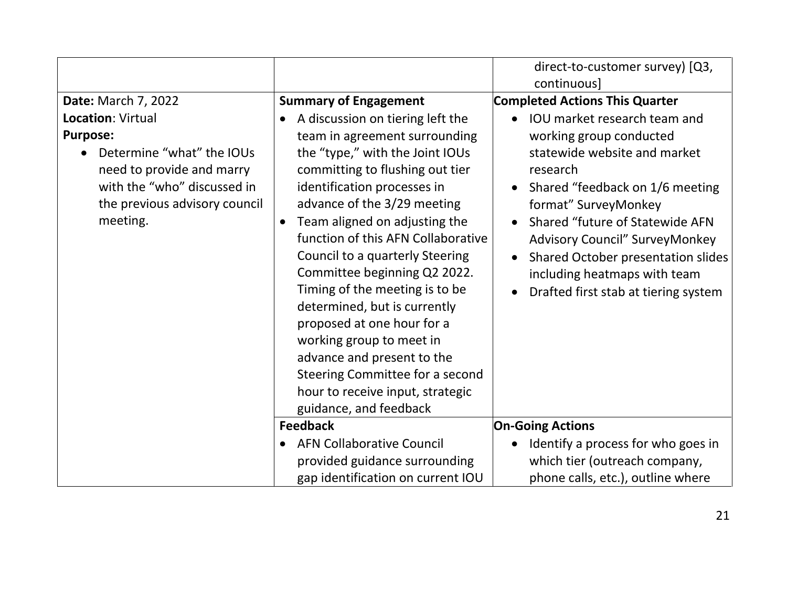|                                                                                                                                                                                                          |                                                                                                                                                                                                                                                                                                                                                                                                                                                                                                                                                                                                                                                         | direct-to-customer survey) [Q3,<br>continuous]                                                                                                                                                                                                                                                                                                                                                                                                                     |
|----------------------------------------------------------------------------------------------------------------------------------------------------------------------------------------------------------|---------------------------------------------------------------------------------------------------------------------------------------------------------------------------------------------------------------------------------------------------------------------------------------------------------------------------------------------------------------------------------------------------------------------------------------------------------------------------------------------------------------------------------------------------------------------------------------------------------------------------------------------------------|--------------------------------------------------------------------------------------------------------------------------------------------------------------------------------------------------------------------------------------------------------------------------------------------------------------------------------------------------------------------------------------------------------------------------------------------------------------------|
| <b>Date: March 7, 2022</b><br>Location: Virtual<br><b>Purpose:</b><br>Determine "what" the IOUs<br>need to provide and marry<br>with the "who" discussed in<br>the previous advisory council<br>meeting. | <b>Summary of Engagement</b><br>A discussion on tiering left the<br>team in agreement surrounding<br>the "type," with the Joint IOUs<br>committing to flushing out tier<br>identification processes in<br>advance of the 3/29 meeting<br>Team aligned on adjusting the<br>$\bullet$<br>function of this AFN Collaborative<br>Council to a quarterly Steering<br>Committee beginning Q2 2022.<br>Timing of the meeting is to be<br>determined, but is currently<br>proposed at one hour for a<br>working group to meet in<br>advance and present to the<br>Steering Committee for a second<br>hour to receive input, strategic<br>guidance, and feedback | <b>Completed Actions This Quarter</b><br><b>IOU</b> market research team and<br>$\bullet$<br>working group conducted<br>statewide website and market<br>research<br>Shared "feedback on 1/6 meeting<br>$\bullet$<br>format" SurveyMonkey<br>Shared "future of Statewide AFN<br>$\bullet$<br>Advisory Council" SurveyMonkey<br>Shared October presentation slides<br>$\bullet$<br>including heatmaps with team<br>Drafted first stab at tiering system<br>$\bullet$ |
|                                                                                                                                                                                                          | <b>Feedback</b>                                                                                                                                                                                                                                                                                                                                                                                                                                                                                                                                                                                                                                         | <b>On-Going Actions</b>                                                                                                                                                                                                                                                                                                                                                                                                                                            |
|                                                                                                                                                                                                          | <b>AFN Collaborative Council</b><br>provided guidance surrounding                                                                                                                                                                                                                                                                                                                                                                                                                                                                                                                                                                                       | Identify a process for who goes in<br>which tier (outreach company,                                                                                                                                                                                                                                                                                                                                                                                                |
|                                                                                                                                                                                                          | gap identification on current IOU                                                                                                                                                                                                                                                                                                                                                                                                                                                                                                                                                                                                                       | phone calls, etc.), outline where                                                                                                                                                                                                                                                                                                                                                                                                                                  |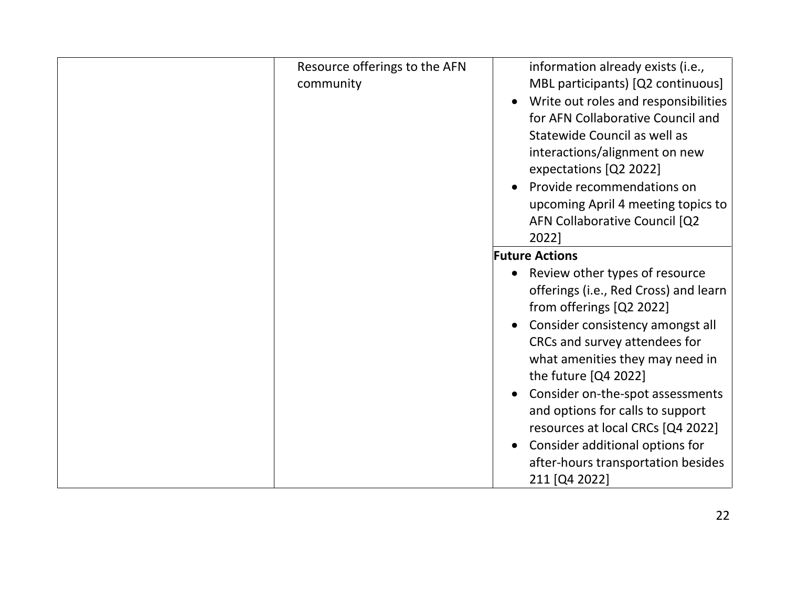| Resource offerings to the AFN<br>community | information already exists (i.e.,<br>MBL participants) [Q2 continuous]<br>Write out roles and responsibilities<br>for AFN Collaborative Council and<br>Statewide Council as well as<br>interactions/alignment on new<br>expectations [Q2 2022]                                                                                                                                                                                                          |
|--------------------------------------------|---------------------------------------------------------------------------------------------------------------------------------------------------------------------------------------------------------------------------------------------------------------------------------------------------------------------------------------------------------------------------------------------------------------------------------------------------------|
|                                            | Provide recommendations on<br>upcoming April 4 meeting topics to<br>AFN Collaborative Council [Q2<br>2022]                                                                                                                                                                                                                                                                                                                                              |
|                                            | <b>Future Actions</b>                                                                                                                                                                                                                                                                                                                                                                                                                                   |
|                                            | Review other types of resource<br>$\bullet$<br>offerings (i.e., Red Cross) and learn<br>from offerings [Q2 2022]<br>Consider consistency amongst all<br>CRCs and survey attendees for<br>what amenities they may need in<br>the future [Q4 2022]<br>Consider on-the-spot assessments<br>and options for calls to support<br>resources at local CRCs [Q4 2022]<br>Consider additional options for<br>after-hours transportation besides<br>211 [Q4 2022] |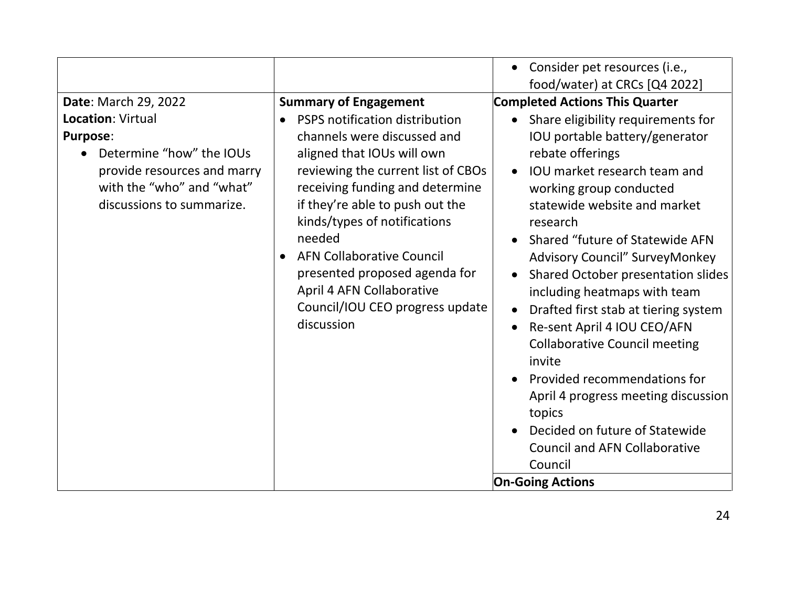|                                                                                                                                                                                          |                                                                                                                                                                                                                                                                                                                                                                                                                                      | Consider pet resources (i.e.,<br>$\bullet$<br>food/water) at CRCs [Q4 2022]                                                                                                                                                                                                                                                                                                                                                                                                                                                                                                                                                                                                                                                                                       |
|------------------------------------------------------------------------------------------------------------------------------------------------------------------------------------------|--------------------------------------------------------------------------------------------------------------------------------------------------------------------------------------------------------------------------------------------------------------------------------------------------------------------------------------------------------------------------------------------------------------------------------------|-------------------------------------------------------------------------------------------------------------------------------------------------------------------------------------------------------------------------------------------------------------------------------------------------------------------------------------------------------------------------------------------------------------------------------------------------------------------------------------------------------------------------------------------------------------------------------------------------------------------------------------------------------------------------------------------------------------------------------------------------------------------|
| Date: March 29, 2022<br><b>Location: Virtual</b><br><b>Purpose:</b><br>Determine "how" the IOUs<br>provide resources and marry<br>with the "who" and "what"<br>discussions to summarize. | <b>Summary of Engagement</b><br>PSPS notification distribution<br>channels were discussed and<br>aligned that IOUs will own<br>reviewing the current list of CBOs<br>receiving funding and determine<br>if they're able to push out the<br>kinds/types of notifications<br>needed<br><b>AFN Collaborative Council</b><br>presented proposed agenda for<br>April 4 AFN Collaborative<br>Council/IOU CEO progress update<br>discussion | <b>Completed Actions This Quarter</b><br>Share eligibility requirements for<br>$\bullet$<br>IOU portable battery/generator<br>rebate offerings<br>IOU market research team and<br>$\bullet$<br>working group conducted<br>statewide website and market<br>research<br>Shared "future of Statewide AFN<br>$\bullet$<br>Advisory Council" SurveyMonkey<br>Shared October presentation slides<br>including heatmaps with team<br>Drafted first stab at tiering system<br>$\bullet$<br>Re-sent April 4 IOU CEO/AFN<br><b>Collaborative Council meeting</b><br>invite<br>Provided recommendations for<br>April 4 progress meeting discussion<br>topics<br>Decided on future of Statewide<br><b>Council and AFN Collaborative</b><br>Council<br><b>On-Going Actions</b> |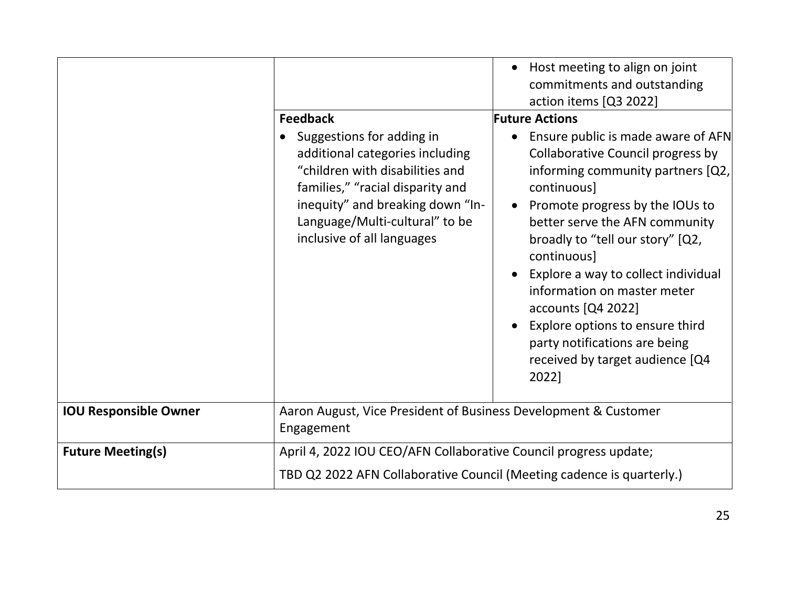|                              | <b>Feedback</b><br>Suggestions for adding in<br>additional categories including<br>"children with disabilities and<br>families," "racial disparity and<br>inequity" and breaking down "In-<br>Language/Multi-cultural" to be<br>inclusive of all languages | Host meeting to align on joint<br>commitments and outstanding<br>action items [Q3 2022]<br><b>Future Actions</b><br>Ensure public is made aware of AFN<br>Collaborative Council progress by<br>informing community partners [Q2,<br>continuous]<br>Promote progress by the IOUs to<br>better serve the AFN community<br>broadly to "tell our story" [Q2,<br>continuous]<br>Explore a way to collect individual<br>information on master meter<br>accounts [Q4 2022]<br>Explore options to ensure third<br>party notifications are being |
|------------------------------|------------------------------------------------------------------------------------------------------------------------------------------------------------------------------------------------------------------------------------------------------------|-----------------------------------------------------------------------------------------------------------------------------------------------------------------------------------------------------------------------------------------------------------------------------------------------------------------------------------------------------------------------------------------------------------------------------------------------------------------------------------------------------------------------------------------|
|                              |                                                                                                                                                                                                                                                            | received by target audience [Q4<br>2022]                                                                                                                                                                                                                                                                                                                                                                                                                                                                                                |
| <b>IOU Responsible Owner</b> | Aaron August, Vice President of Business Development & Customer<br>Engagement                                                                                                                                                                              |                                                                                                                                                                                                                                                                                                                                                                                                                                                                                                                                         |
| <b>Future Meeting(s)</b>     | April 4, 2022 IOU CEO/AFN Collaborative Council progress update;<br>TBD Q2 2022 AFN Collaborative Council (Meeting cadence is quarterly.)                                                                                                                  |                                                                                                                                                                                                                                                                                                                                                                                                                                                                                                                                         |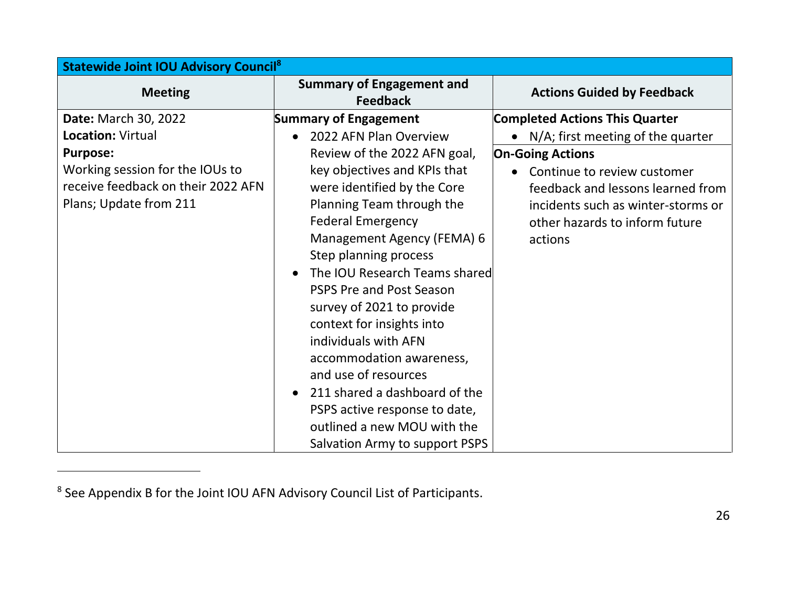| <b>Statewide Joint IOU Advisory Council<sup>8</sup></b> |                                                     |                                        |  |
|---------------------------------------------------------|-----------------------------------------------------|----------------------------------------|--|
| <b>Meeting</b>                                          | <b>Summary of Engagement and</b><br><b>Feedback</b> | <b>Actions Guided by Feedback</b>      |  |
| Date: March 30, 2022                                    | <b>Summary of Engagement</b>                        | <b>Completed Actions This Quarter</b>  |  |
| <b>Location: Virtual</b>                                | 2022 AFN Plan Overview                              | • $N/A$ ; first meeting of the quarter |  |
| <b>Purpose:</b>                                         | Review of the 2022 AFN goal,                        | <b>On-Going Actions</b>                |  |
| Working session for the IOUs to                         | key objectives and KPIs that                        | • Continue to review customer          |  |
| receive feedback on their 2022 AFN                      | were identified by the Core                         | feedback and lessons learned from      |  |
| Plans; Update from 211                                  | Planning Team through the                           | incidents such as winter-storms or     |  |
|                                                         | <b>Federal Emergency</b>                            | other hazards to inform future         |  |
|                                                         | Management Agency (FEMA) 6                          | actions                                |  |
|                                                         | Step planning process                               |                                        |  |
|                                                         | The IOU Research Teams shared                       |                                        |  |
|                                                         | <b>PSPS Pre and Post Season</b>                     |                                        |  |
|                                                         | survey of 2021 to provide                           |                                        |  |
|                                                         | context for insights into                           |                                        |  |
|                                                         | individuals with AFN                                |                                        |  |
|                                                         | accommodation awareness,                            |                                        |  |
|                                                         | and use of resources                                |                                        |  |
|                                                         | 211 shared a dashboard of the<br>$\bullet$          |                                        |  |
|                                                         | PSPS active response to date,                       |                                        |  |
|                                                         | outlined a new MOU with the                         |                                        |  |
|                                                         | Salvation Army to support PSPS                      |                                        |  |

<sup>&</sup>lt;sup>8</sup> See Appendix B for the Joint IOU AFN Advisory Council List of Participants.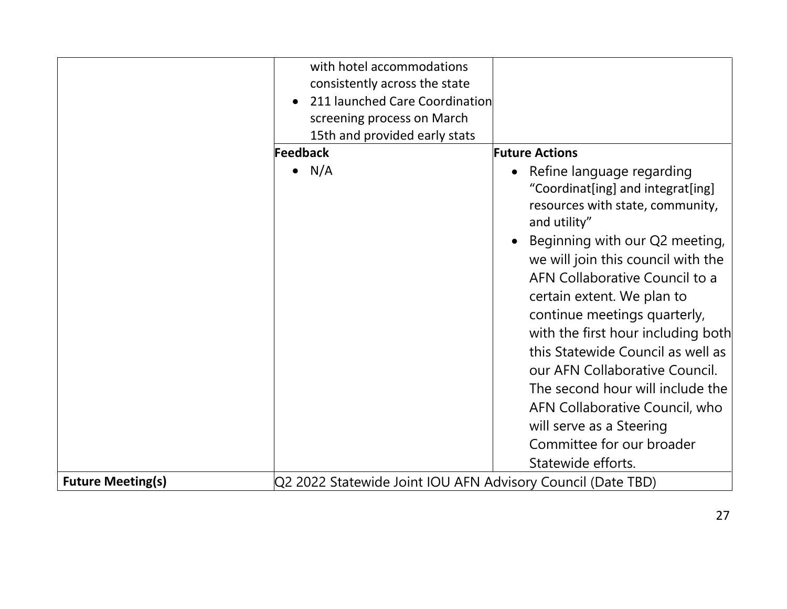|                          | with hotel accommodations                                   |                                                                                                                                                                                                                                                                                                                                                                                                                                                                                                                                        |
|--------------------------|-------------------------------------------------------------|----------------------------------------------------------------------------------------------------------------------------------------------------------------------------------------------------------------------------------------------------------------------------------------------------------------------------------------------------------------------------------------------------------------------------------------------------------------------------------------------------------------------------------------|
|                          | consistently across the state                               |                                                                                                                                                                                                                                                                                                                                                                                                                                                                                                                                        |
|                          | 211 launched Care Coordination                              |                                                                                                                                                                                                                                                                                                                                                                                                                                                                                                                                        |
|                          | screening process on March                                  |                                                                                                                                                                                                                                                                                                                                                                                                                                                                                                                                        |
|                          | 15th and provided early stats                               |                                                                                                                                                                                                                                                                                                                                                                                                                                                                                                                                        |
|                          | Feedback                                                    | <b>Future Actions</b>                                                                                                                                                                                                                                                                                                                                                                                                                                                                                                                  |
|                          | $\bullet$ N/A                                               | Refine language regarding<br>"Coordinat[ing] and integrat[ing]<br>resources with state, community,<br>and utility"<br>Beginning with our Q2 meeting,<br>we will join this council with the<br>AFN Collaborative Council to a<br>certain extent. We plan to<br>continue meetings quarterly,<br>with the first hour including both<br>this Statewide Council as well as<br>our AFN Collaborative Council.<br>The second hour will include the<br>AFN Collaborative Council, who<br>will serve as a Steering<br>Committee for our broader |
|                          |                                                             | Statewide efforts.                                                                                                                                                                                                                                                                                                                                                                                                                                                                                                                     |
| <b>Future Meeting(s)</b> | Q2 2022 Statewide Joint IOU AFN Advisory Council (Date TBD) |                                                                                                                                                                                                                                                                                                                                                                                                                                                                                                                                        |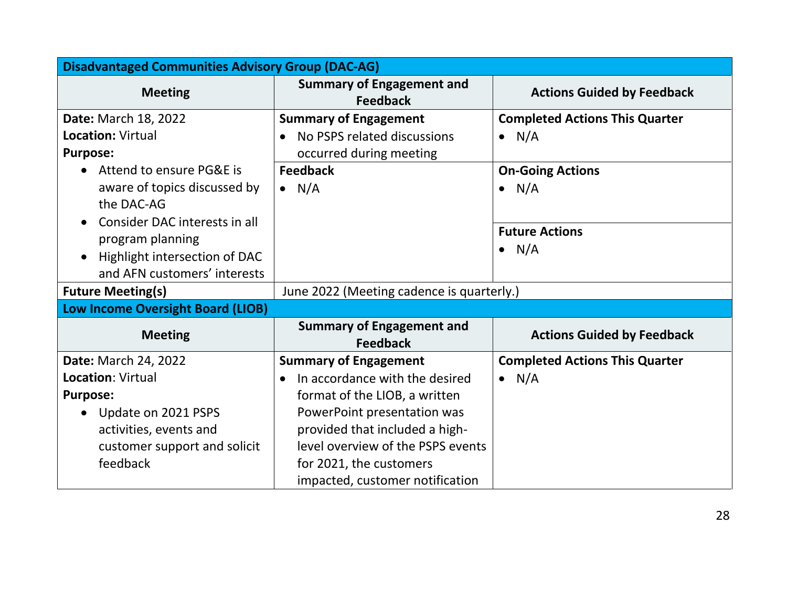| <b>Disadvantaged Communities Advisory Group (DAC-AG)</b> |                                                     |                                       |
|----------------------------------------------------------|-----------------------------------------------------|---------------------------------------|
| <b>Meeting</b>                                           | <b>Summary of Engagement and</b><br><b>Feedback</b> | <b>Actions Guided by Feedback</b>     |
| <b>Date: March 18, 2022</b>                              | <b>Summary of Engagement</b>                        | <b>Completed Actions This Quarter</b> |
| <b>Location: Virtual</b>                                 | No PSPS related discussions<br>$\bullet$            | $\bullet$ N/A                         |
| <b>Purpose:</b>                                          | occurred during meeting                             |                                       |
| Attend to ensure PG&E is<br>$\bullet$                    | <b>Feedback</b>                                     | <b>On-Going Actions</b>               |
| aware of topics discussed by<br>the DAC-AG               | $\bullet$ N/A                                       | N/A<br>$\bullet$                      |
| Consider DAC interests in all<br>$\bullet$               |                                                     |                                       |
| program planning                                         |                                                     | <b>Future Actions</b>                 |
| Highlight intersection of DAC<br>$\bullet$               |                                                     | $\bullet$ N/A                         |
| and AFN customers' interests                             |                                                     |                                       |
| <b>Future Meeting(s)</b>                                 | June 2022 (Meeting cadence is quarterly.)           |                                       |
| <b>Low Income Oversight Board (LIOB)</b>                 |                                                     |                                       |
| <b>Meeting</b>                                           | <b>Summary of Engagement and</b><br><b>Feedback</b> | <b>Actions Guided by Feedback</b>     |
| Date: March 24, 2022                                     | <b>Summary of Engagement</b>                        | <b>Completed Actions This Quarter</b> |
| <b>Location: Virtual</b>                                 | In accordance with the desired<br>$\bullet$         | $\bullet$ N/A                         |
| <b>Purpose:</b>                                          | format of the LIOB, a written                       |                                       |
| Update on 2021 PSPS<br>$\bullet$                         | PowerPoint presentation was                         |                                       |
| activities, events and                                   | provided that included a high-                      |                                       |
| customer support and solicit                             | level overview of the PSPS events                   |                                       |
| feedback                                                 | for 2021, the customers                             |                                       |
|                                                          | impacted, customer notification                     |                                       |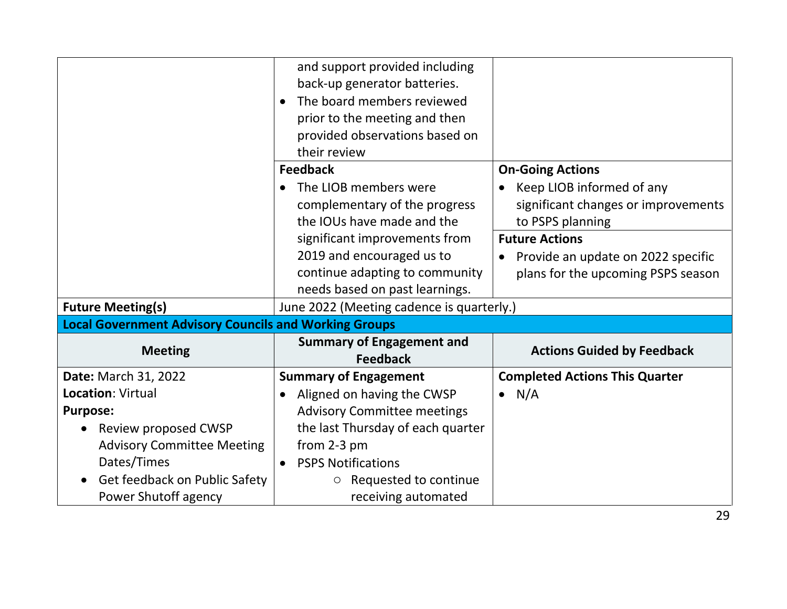|                                                              | and support provided including            |                                                 |
|--------------------------------------------------------------|-------------------------------------------|-------------------------------------------------|
|                                                              | back-up generator batteries.              |                                                 |
|                                                              | The board members reviewed                |                                                 |
|                                                              | prior to the meeting and then             |                                                 |
|                                                              | provided observations based on            |                                                 |
|                                                              | their review                              |                                                 |
|                                                              | <b>Feedback</b>                           | <b>On-Going Actions</b>                         |
|                                                              | The LIOB members were                     | Keep LIOB informed of any                       |
|                                                              | complementary of the progress             | significant changes or improvements             |
|                                                              | the IOUs have made and the                | to PSPS planning                                |
|                                                              | significant improvements from             | <b>Future Actions</b>                           |
|                                                              | 2019 and encouraged us to                 | Provide an update on 2022 specific<br>$\bullet$ |
|                                                              | continue adapting to community            | plans for the upcoming PSPS season              |
|                                                              | needs based on past learnings.            |                                                 |
| <b>Future Meeting(s)</b>                                     | June 2022 (Meeting cadence is quarterly.) |                                                 |
| <b>Local Government Advisory Councils and Working Groups</b> |                                           |                                                 |
| <b>Meeting</b>                                               | <b>Summary of Engagement and</b>          | <b>Actions Guided by Feedback</b>               |
|                                                              | <b>Feedback</b>                           |                                                 |
| <b>Date: March 31, 2022</b>                                  | <b>Summary of Engagement</b>              | <b>Completed Actions This Quarter</b>           |
| <b>Location: Virtual</b>                                     | Aligned on having the CWSP                | N/A                                             |
| <b>Purpose:</b>                                              | <b>Advisory Committee meetings</b>        |                                                 |
| Review proposed CWSP                                         | the last Thursday of each quarter         |                                                 |
| <b>Advisory Committee Meeting</b>                            | from 2-3 pm                               |                                                 |
| Dates/Times                                                  | <b>PSPS Notifications</b>                 |                                                 |
| Get feedback on Public Safety                                | Requested to continue<br>$\circ$          |                                                 |
| Power Shutoff agency                                         | receiving automated                       |                                                 |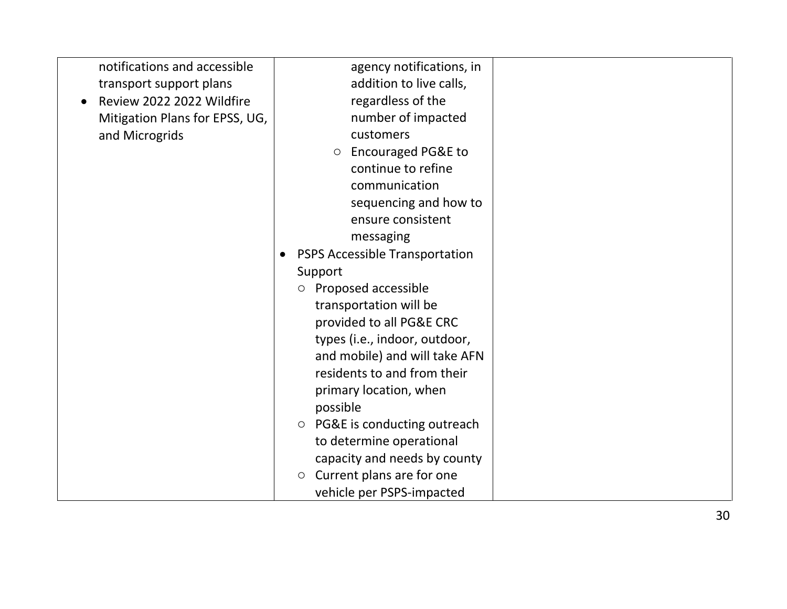| notifications and accessible           | agency notifications, in                 |  |
|----------------------------------------|------------------------------------------|--|
| transport support plans                | addition to live calls,                  |  |
| Review 2022 2022 Wildfire<br>$\bullet$ | regardless of the                        |  |
| Mitigation Plans for EPSS, UG,         | number of impacted                       |  |
| and Microgrids                         | customers                                |  |
|                                        | <b>Encouraged PG&amp;E to</b><br>$\circ$ |  |
|                                        | continue to refine                       |  |
|                                        | communication                            |  |
|                                        | sequencing and how to                    |  |
|                                        | ensure consistent                        |  |
|                                        | messaging                                |  |
|                                        | <b>PSPS Accessible Transportation</b>    |  |
|                                        | Support                                  |  |
|                                        | Proposed accessible<br>$\circ$           |  |
|                                        | transportation will be                   |  |
|                                        | provided to all PG&E CRC                 |  |
|                                        | types (i.e., indoor, outdoor,            |  |
|                                        | and mobile) and will take AFN            |  |
|                                        | residents to and from their              |  |
|                                        | primary location, when                   |  |
|                                        | possible                                 |  |
|                                        | $\circ$ PG&E is conducting outreach      |  |
|                                        | to determine operational                 |  |
|                                        | capacity and needs by county             |  |
|                                        | Current plans are for one<br>$\circ$     |  |
|                                        | vehicle per PSPS-impacted                |  |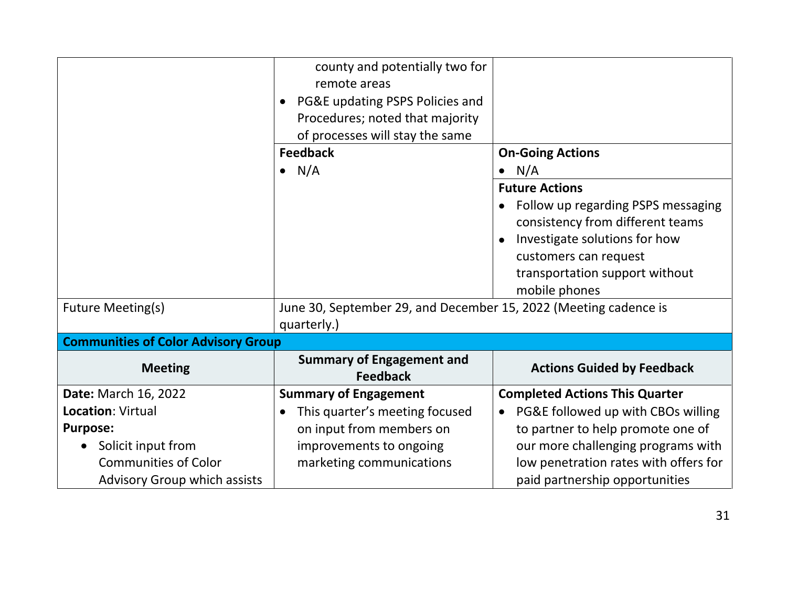|                                                             | county and potentially two for<br>remote areas<br>PG&E updating PSPS Policies and<br>$\bullet$ |                                                                                                                                                                                                              |
|-------------------------------------------------------------|------------------------------------------------------------------------------------------------|--------------------------------------------------------------------------------------------------------------------------------------------------------------------------------------------------------------|
|                                                             | Procedures; noted that majority<br>of processes will stay the same                             |                                                                                                                                                                                                              |
|                                                             | <b>Feedback</b><br>$\bullet$ N/A                                                               | <b>On-Going Actions</b><br>N/A                                                                                                                                                                               |
|                                                             |                                                                                                | <b>Future Actions</b><br>Follow up regarding PSPS messaging<br>consistency from different teams<br>Investigate solutions for how<br>customers can request<br>transportation support without<br>mobile phones |
| <b>Future Meeting(s)</b>                                    | June 30, September 29, and December 15, 2022 (Meeting cadence is<br>quarterly.)                |                                                                                                                                                                                                              |
| <b>Communities of Color Advisory Group</b>                  |                                                                                                |                                                                                                                                                                                                              |
| <b>Meeting</b>                                              | <b>Summary of Engagement and</b><br><b>Feedback</b>                                            | <b>Actions Guided by Feedback</b>                                                                                                                                                                            |
| <b>Date: March 16, 2022</b>                                 | <b>Summary of Engagement</b>                                                                   | <b>Completed Actions This Quarter</b>                                                                                                                                                                        |
| <b>Location: Virtual</b>                                    | This quarter's meeting focused                                                                 | PG&E followed up with CBOs willing<br>$\bullet$                                                                                                                                                              |
| <b>Purpose:</b>                                             | on input from members on                                                                       | to partner to help promote one of                                                                                                                                                                            |
| Solicit input from                                          | improvements to ongoing                                                                        | our more challenging programs with                                                                                                                                                                           |
| <b>Communities of Color</b><br>Advisory Group which assists | marketing communications                                                                       | low penetration rates with offers for<br>paid partnership opportunities                                                                                                                                      |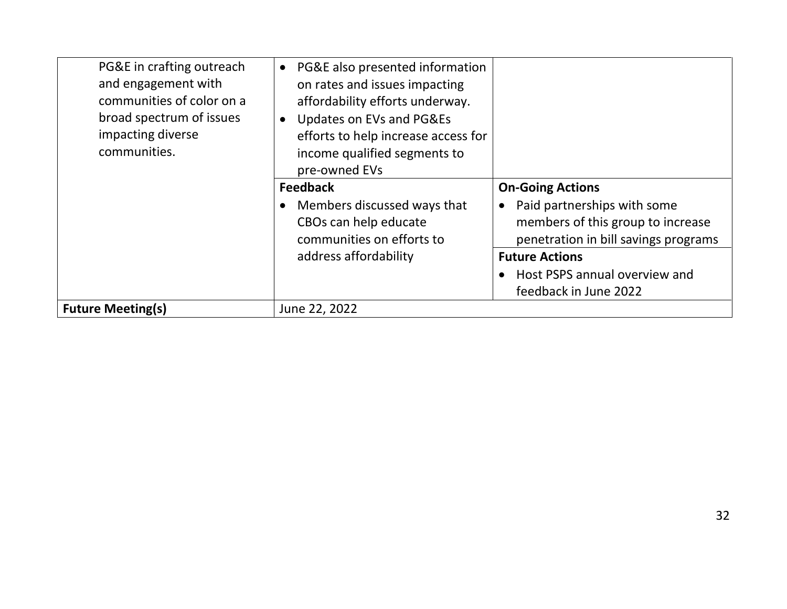| PG&E in crafting outreach<br>and engagement with<br>communities of color on a<br>broad spectrum of issues<br>impacting diverse<br>communities. | PG&E also presented information<br>$\bullet$<br>on rates and issues impacting<br>affordability efforts underway.<br>Updates on EVs and PG&Es<br>efforts to help increase access for<br>income qualified segments to<br>pre-owned EVs |                                                                                                                                                  |
|------------------------------------------------------------------------------------------------------------------------------------------------|--------------------------------------------------------------------------------------------------------------------------------------------------------------------------------------------------------------------------------------|--------------------------------------------------------------------------------------------------------------------------------------------------|
|                                                                                                                                                | <b>Feedback</b><br>Members discussed ways that<br>CBOs can help educate<br>communities on efforts to                                                                                                                                 | <b>On-Going Actions</b><br>Paid partnerships with some<br>$\bullet$<br>members of this group to increase<br>penetration in bill savings programs |
|                                                                                                                                                | address affordability                                                                                                                                                                                                                | <b>Future Actions</b><br>Host PSPS annual overview and<br>feedback in June 2022                                                                  |
| <b>Future Meeting(s)</b>                                                                                                                       | June 22, 2022                                                                                                                                                                                                                        |                                                                                                                                                  |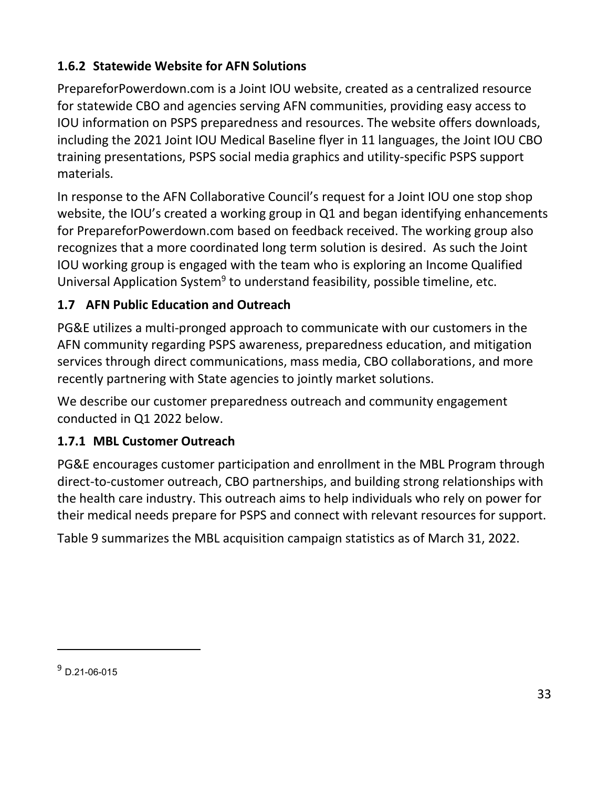## <span id="page-37-0"></span>**1.6.2 Statewide Website for AFN Solutions**

PrepareforPowerdown.com is a Joint IOU website, created as a centralized resource for statewide CBO and agencies serving AFN communities, providing easy access to IOU information on PSPS preparedness and resources. The website offers downloads, including the 2021 Joint IOU Medical Baseline flyer in 11 languages, the Joint IOU CBO training presentations, PSPS social media graphics and utility-specific PSPS support materials.

In response to the AFN Collaborative Council's request for a Joint IOU one stop shop website, the IOU's created a working group in Q1 and began identifying enhancements for PrepareforPowerdown.com based on feedback received. The working group also recognizes that a more coordinated long term solution is desired. As such the Joint IOU working group is engaged with the team who is exploring an Income Qualified Universal Application System<sup>9</sup> to understand feasibility, possible timeline, etc.

## <span id="page-37-1"></span>**1.7 AFN Public Education and Outreach**

PG&E utilizes a multi-pronged approach to communicate with our customers in the AFN community regarding PSPS awareness, preparedness education, and mitigation services through direct communications, mass media, CBO collaborations, and more recently partnering with State agencies to jointly market solutions.

We describe our customer preparedness outreach and community engagement conducted in Q1 2022 below.

### <span id="page-37-2"></span>**1.7.1 MBL Customer Outreach**

PG&E encourages customer participation and enrollment in the MBL Program through direct-to-customer outreach, CBO partnerships, and building strong relationships with the health care industry. This outreach aims to help individuals who rely on power for their medical needs prepare for PSPS and connect with relevant resources for support.

[Table 9](#page-38-0) summarizes the MBL acquisition campaign statistics as of March 31, 2022.

<sup>9</sup> D.21-06-015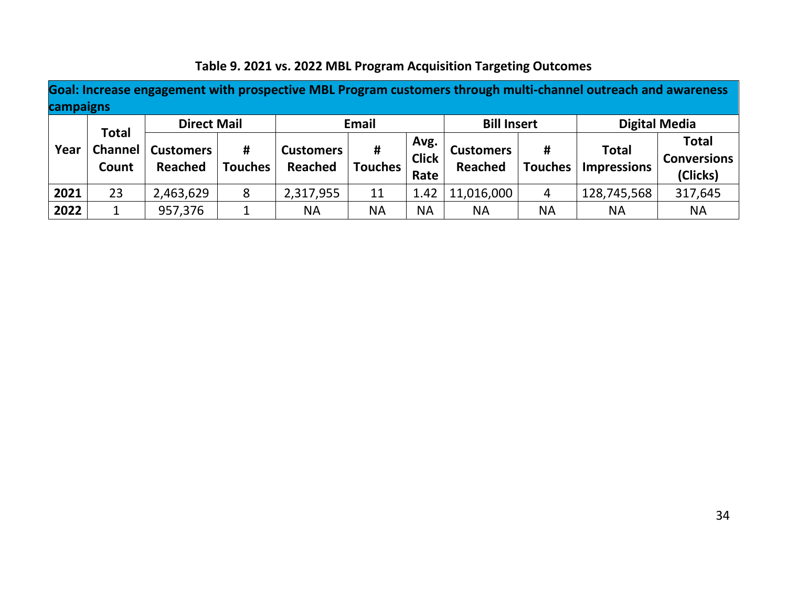<span id="page-38-0"></span>

| campaigns |                                  |                             |                     |                             |                     |                              |                             |                     | Goal: Increase engagement with prospective MBL Program customers through multi-channel outreach and awareness |                                                |
|-----------|----------------------------------|-----------------------------|---------------------|-----------------------------|---------------------|------------------------------|-----------------------------|---------------------|---------------------------------------------------------------------------------------------------------------|------------------------------------------------|
|           |                                  | <b>Direct Mail</b>          |                     |                             | Email               |                              | <b>Bill Insert</b>          |                     | <b>Digital Media</b>                                                                                          |                                                |
| Year      | <b>Total</b><br>Channel<br>Count | <b>Customers</b><br>Reached | #<br><b>Touches</b> | <b>Customers</b><br>Reached | #<br><b>Touches</b> | Avg.<br><b>Click</b><br>Rate | <b>Customers</b><br>Reached | #<br><b>Touches</b> | <b>Total</b><br><b>Impressions</b>                                                                            | <b>Total</b><br><b>Conversions</b><br>(Clicks) |
| 2021      | 23                               | 2,463,629                   | 8                   | 2,317,955                   | 11                  | 1.42                         | 11,016,000                  | 4                   | 128,745,568                                                                                                   | 317,645                                        |
| 2022      | ┻                                | 957,376                     |                     | <b>NA</b>                   | ΝA                  | <b>NA</b>                    | <b>NA</b>                   | <b>NA</b>           | <b>NA</b>                                                                                                     | <b>NA</b>                                      |

# **Table 9. 2021 vs. 2022 MBL Program Acquisition Targeting Outcomes**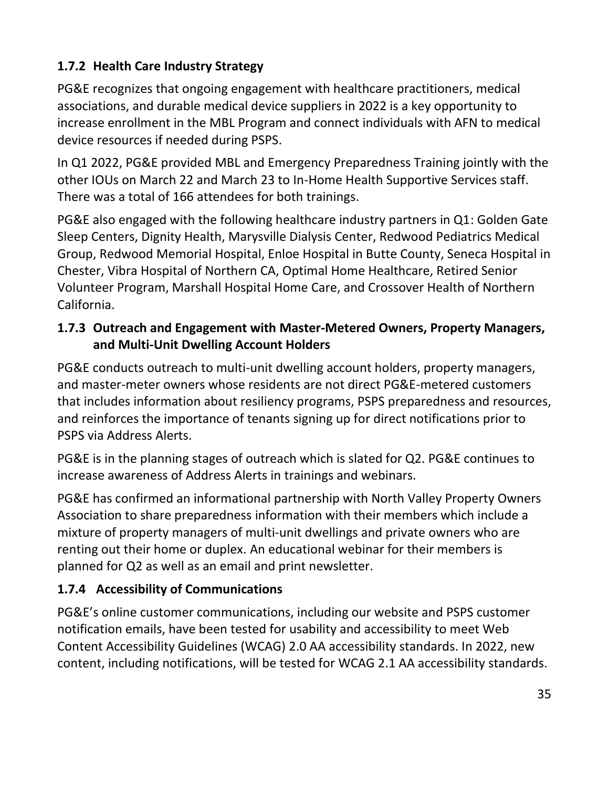# <span id="page-39-0"></span>**1.7.2 Health Care Industry Strategy**

PG&E recognizes that ongoing engagement with healthcare practitioners, medical associations, and durable medical device suppliers in 2022 is a key opportunity to increase enrollment in the MBL Program and connect individuals with AFN to medical device resources if needed during PSPS.

In Q1 2022, PG&E provided MBL and Emergency Preparedness Training jointly with the other IOUs on March 22 and March 23 to In-Home Health Supportive Services staff. There was a total of 166 attendees for both trainings.

PG&E also engaged with the following healthcare industry partners in Q1: Golden Gate Sleep Centers, Dignity Health, Marysville Dialysis Center, Redwood Pediatrics Medical Group, Redwood Memorial Hospital, Enloe Hospital in Butte County, Seneca Hospital in Chester, Vibra Hospital of Northern CA, Optimal Home Healthcare, Retired Senior Volunteer Program, Marshall Hospital Home Care, and Crossover Health of Northern California.

#### <span id="page-39-1"></span>**1.7.3 Outreach and Engagement with Master-Metered Owners, Property Managers, and Multi-Unit Dwelling Account Holders**

PG&E conducts outreach to multi-unit dwelling account holders, property managers, and master-meter owners whose residents are not direct PG&E-metered customers that includes information about resiliency programs, PSPS preparedness and resources, and reinforces the importance of tenants signing up for direct notifications prior to PSPS via Address Alerts.

PG&E is in the planning stages of outreach which is slated for Q2. PG&E continues to increase awareness of Address Alerts in trainings and webinars.

PG&E has confirmed an informational partnership with North Valley Property Owners Association to share preparedness information with their members which include a mixture of property managers of multi-unit dwellings and private owners who are renting out their home or duplex. An educational webinar for their members is planned for Q2 as well as an email and print newsletter.

# <span id="page-39-2"></span>**1.7.4 Accessibility of Communications**

PG&E's online customer communications, including our website and PSPS customer notification emails, have been tested for usability and accessibility to meet Web Content Accessibility Guidelines (WCAG) 2.0 AA accessibility standards. In 2022, new content, including notifications, will be tested for WCAG 2.1 AA accessibility standards.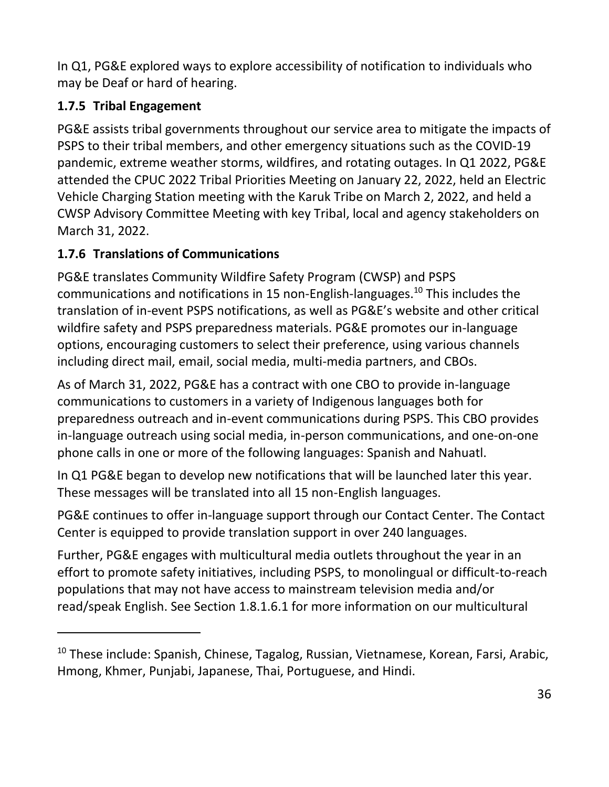In Q1, PG&E explored ways to explore accessibility of notification to individuals who may be Deaf or hard of hearing.

# <span id="page-40-0"></span>**1.7.5 Tribal Engagement**

PG&E assists tribal governments throughout our service area to mitigate the impacts of PSPS to their tribal members, and other emergency situations such as the COVID-19 pandemic, extreme weather storms, wildfires, and rotating outages. In Q1 2022, PG&E attended the CPUC 2022 Tribal Priorities Meeting on January 22, 2022, held an Electric Vehicle Charging Station meeting with the Karuk Tribe on March 2, 2022, and held a CWSP Advisory Committee Meeting with key Tribal, local and agency stakeholders on March 31, 2022.

# <span id="page-40-1"></span>**1.7.6 Translations of Communications**

PG&E translates Community Wildfire Safety Program (CWSP) and PSPS communications and notifications in 15 non-English-languages.<sup>10</sup> This includes the translation of in-event PSPS notifications, as well as PG&E's website and other critical wildfire safety and PSPS preparedness materials. PG&E promotes our in-language options, encouraging customers to select their preference, using various channels including direct mail, email, social media, multi-media partners, and CBOs.

As of March 31, 2022, PG&E has a contract with one CBO to provide in-language communications to customers in a variety of Indigenous languages both for preparedness outreach and in-event communications during PSPS. This CBO provides in-language outreach using social media, in-person communications, and one-on-one phone calls in one or more of the following languages: Spanish and Nahuatl.

In Q1 PG&E began to develop new notifications that will be launched later this year. These messages will be translated into all 15 non-English languages.

PG&E continues to offer in-language support through our Contact Center. The Contact Center is equipped to provide translation support in over 240 languages.

Further, PG&E engages with multicultural media outlets throughout the year in an effort to promote safety initiatives, including PSPS, to monolingual or difficult-to-reach populations that may not have access to mainstream television media and/or read/speak English. See Section [1.8.1.6.1](#page-45-1) for more information on our multicultural

<sup>&</sup>lt;sup>10</sup> These include: Spanish, Chinese, Tagalog, Russian, Vietnamese, Korean, Farsi, Arabic, Hmong, Khmer, Punjabi, Japanese, Thai, Portuguese, and Hindi.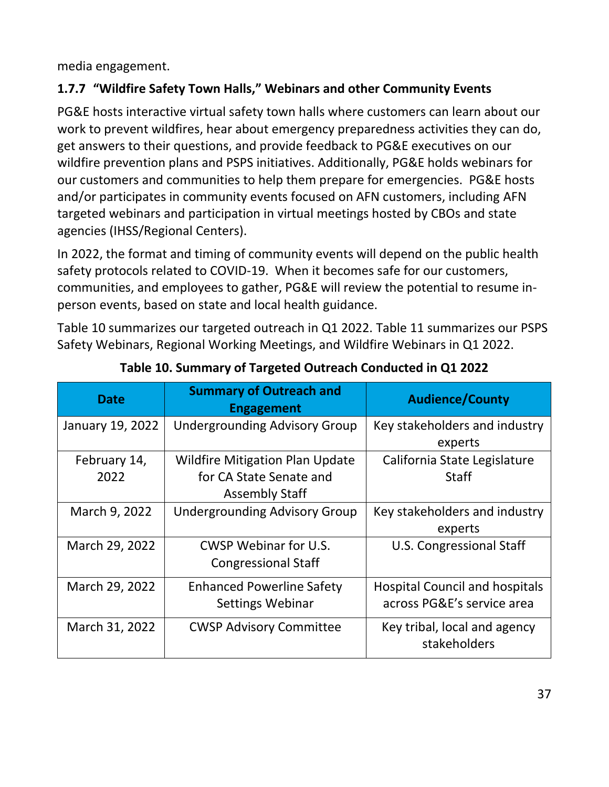media engagement.

## <span id="page-41-0"></span>**1.7.7 "Wildfire Safety Town Halls," Webinars and other Community Events**

PG&E hosts interactive virtual safety town halls where customers can learn about our work to prevent wildfires, hear about emergency preparedness activities they can do, get answers to their questions, and provide feedback to PG&E executives on our wildfire prevention plans and PSPS initiatives. Additionally, PG&E holds webinars for our customers and communities to help them prepare for emergencies. PG&E hosts and/or participates in community events focused on AFN customers, including AFN targeted webinars and participation in virtual meetings hosted by CBOs and state agencies (IHSS/Regional Centers).

In 2022, the format and timing of community events will depend on the public health safety protocols related to COVID-19. When it becomes safe for our customers, communities, and employees to gather, PG&E will review the potential to resume inperson events, based on state and local health guidance.

[Table 10](#page-41-1) summarizes our targeted outreach in Q1 2022. [Table 11](#page-42-0) summarizes our PSPS Safety Webinars, Regional Working Meetings, and Wildfire Webinars in Q1 2022.

<span id="page-41-1"></span>

| <b>Date</b>          | <b>Summary of Outreach and</b><br><b>Engagement</b>                                        | <b>Audience/County</b>                                              |
|----------------------|--------------------------------------------------------------------------------------------|---------------------------------------------------------------------|
| January 19, 2022     | <b>Undergrounding Advisory Group</b>                                                       | Key stakeholders and industry<br>experts                            |
| February 14,<br>2022 | <b>Wildfire Mitigation Plan Update</b><br>for CA State Senate and<br><b>Assembly Staff</b> | California State Legislature<br><b>Staff</b>                        |
| March 9, 2022        | <b>Undergrounding Advisory Group</b>                                                       | Key stakeholders and industry<br>experts                            |
| March 29, 2022       | CWSP Webinar for U.S.<br><b>Congressional Staff</b>                                        | U.S. Congressional Staff                                            |
| March 29, 2022       | <b>Enhanced Powerline Safety</b><br><b>Settings Webinar</b>                                | <b>Hospital Council and hospitals</b><br>across PG&E's service area |
| March 31, 2022       | <b>CWSP Advisory Committee</b>                                                             | Key tribal, local and agency<br>stakeholders                        |

#### **Table 10. Summary of Targeted Outreach Conducted in Q1 2022**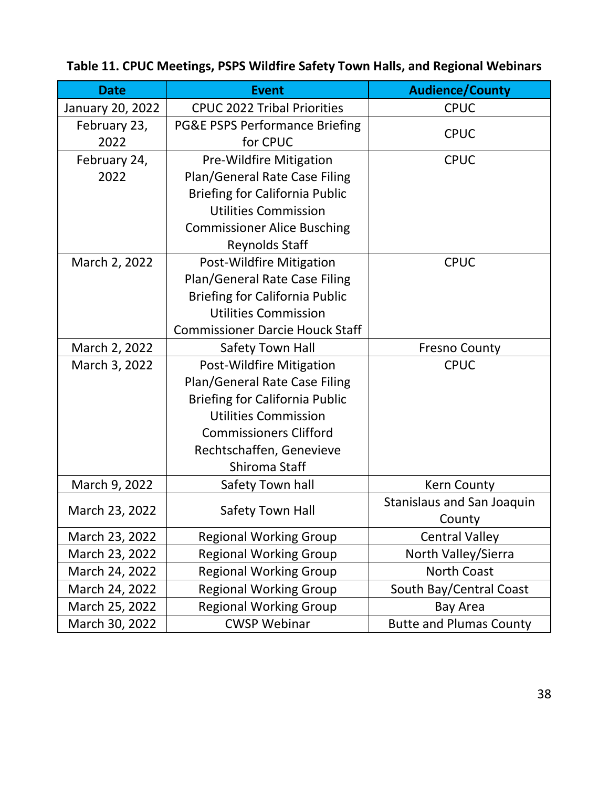| <b>Date</b>      | <b>Event</b>                              | <b>Audience/County</b>            |
|------------------|-------------------------------------------|-----------------------------------|
| January 20, 2022 | <b>CPUC 2022 Tribal Priorities</b>        | <b>CPUC</b>                       |
| February 23,     | <b>PG&amp;E PSPS Performance Briefing</b> | <b>CPUC</b>                       |
| 2022             | for CPUC                                  |                                   |
| February 24,     | <b>Pre-Wildfire Mitigation</b>            | <b>CPUC</b>                       |
| 2022             | Plan/General Rate Case Filing             |                                   |
|                  | <b>Briefing for California Public</b>     |                                   |
|                  | <b>Utilities Commission</b>               |                                   |
|                  | <b>Commissioner Alice Busching</b>        |                                   |
|                  | <b>Reynolds Staff</b>                     |                                   |
| March 2, 2022    | Post-Wildfire Mitigation                  | <b>CPUC</b>                       |
|                  | Plan/General Rate Case Filing             |                                   |
|                  | <b>Briefing for California Public</b>     |                                   |
|                  | <b>Utilities Commission</b>               |                                   |
|                  | <b>Commissioner Darcie Houck Staff</b>    |                                   |
| March 2, 2022    | <b>Safety Town Hall</b>                   | <b>Fresno County</b>              |
| March 3, 2022    | Post-Wildfire Mitigation                  | <b>CPUC</b>                       |
|                  | Plan/General Rate Case Filing             |                                   |
|                  | <b>Briefing for California Public</b>     |                                   |
|                  | <b>Utilities Commission</b>               |                                   |
|                  | <b>Commissioners Clifford</b>             |                                   |
|                  | Rechtschaffen, Genevieve                  |                                   |
|                  | Shiroma Staff                             |                                   |
| March 9, 2022    | Safety Town hall                          | <b>Kern County</b>                |
|                  |                                           | <b>Stanislaus and San Joaquin</b> |
| March 23, 2022   | <b>Safety Town Hall</b>                   | County                            |
| March 23, 2022   | <b>Regional Working Group</b>             | <b>Central Valley</b>             |
| March 23, 2022   | <b>Regional Working Group</b>             | North Valley/Sierra               |
| March 24, 2022   | <b>Regional Working Group</b>             | <b>North Coast</b>                |
| March 24, 2022   | <b>Regional Working Group</b>             | South Bay/Central Coast           |
| March 25, 2022   | <b>Regional Working Group</b>             | <b>Bay Area</b>                   |
| March 30, 2022   | <b>CWSP Webinar</b>                       | <b>Butte and Plumas County</b>    |

# <span id="page-42-0"></span>**Table 11. CPUC Meetings, PSPS Wildfire Safety Town Halls, and Regional Webinars**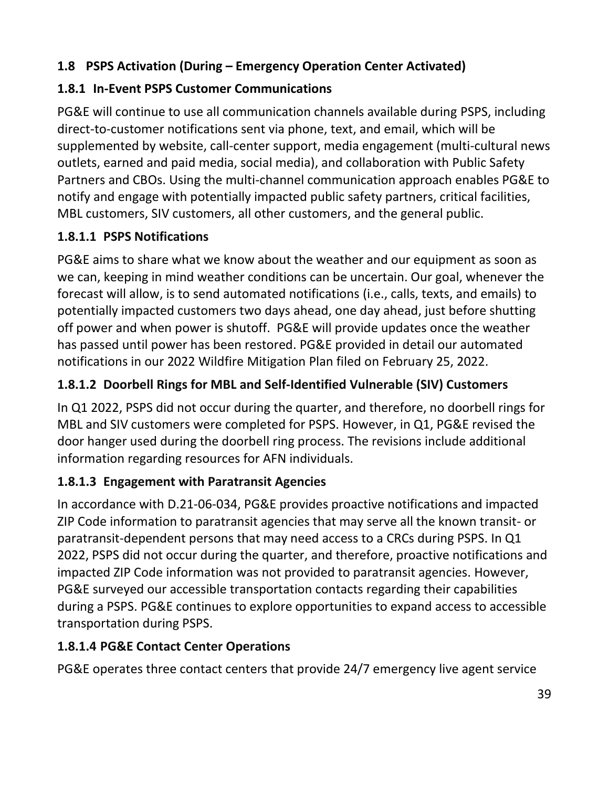## <span id="page-43-0"></span>**1.8 PSPS Activation (During – Emergency Operation Center Activated)**

# <span id="page-43-1"></span>**1.8.1 In-Event PSPS Customer Communications**

PG&E will continue to use all communication channels available during PSPS, including direct-to-customer notifications sent via phone, text, and email, which will be supplemented by website, call-center support, media engagement (multi-cultural news outlets, earned and paid media, social media), and collaboration with Public Safety Partners and CBOs. Using the multi-channel communication approach enables PG&E to notify and engage with potentially impacted public safety partners, critical facilities, MBL customers, SIV customers, all other customers, and the general public.

### **1.8.1.1 PSPS Notifications**

PG&E aims to share what we know about the weather and our equipment as soon as we can, keeping in mind weather conditions can be uncertain. Our goal, whenever the forecast will allow, is to send automated notifications (i.e., calls, texts, and emails) to potentially impacted customers two days ahead, one day ahead, just before shutting off power and when power is shutoff. PG&E will provide updates once the weather has passed until power has been restored. PG&E provided in detail our automated notifications in our 2022 Wildfire Mitigation Plan filed on February 25, 2022.

# **1.8.1.2 Doorbell Rings for MBL and Self-Identified Vulnerable (SIV) Customers**

In Q1 2022, PSPS did not occur during the quarter, and therefore, no doorbell rings for MBL and SIV customers were completed for PSPS. However, in Q1, PG&E revised the door hanger used during the doorbell ring process. The revisions include additional information regarding resources for AFN individuals.

### **1.8.1.3 Engagement with Paratransit Agencies**

In accordance with D.21-06-034, PG&E provides proactive notifications and impacted ZIP Code information to paratransit agencies that may serve all the known transit- or paratransit-dependent persons that may need access to a CRCs during PSPS. In Q1 2022, PSPS did not occur during the quarter, and therefore, proactive notifications and impacted ZIP Code information was not provided to paratransit agencies. However, PG&E surveyed our accessible transportation contacts regarding their capabilities during a PSPS. PG&E continues to explore opportunities to expand access to accessible transportation during PSPS.

### **1.8.1.4 PG&E Contact Center Operations**

PG&E operates three contact centers that provide 24/7 emergency live agent service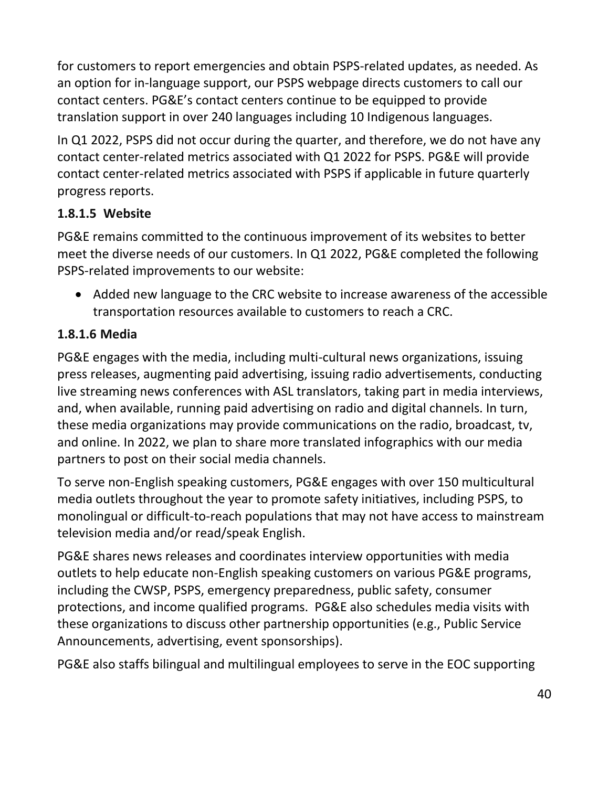for customers to report emergencies and obtain PSPS-related updates, as needed. As an option for in-language support, our PSPS webpage directs customers to call our contact centers. PG&E's contact centers continue to be equipped to provide translation support in over 240 languages including 10 Indigenous languages.

In Q1 2022, PSPS did not occur during the quarter, and therefore, we do not have any contact center-related metrics associated with Q1 2022 for PSPS. PG&E will provide contact center-related metrics associated with PSPS if applicable in future quarterly progress reports.

### **1.8.1.5 Website**

PG&E remains committed to the continuous improvement of its websites to better meet the diverse needs of our customers. In Q1 2022, PG&E completed the following PSPS-related improvements to our website:

• Added new language to the CRC website to increase awareness of the accessible transportation resources available to customers to reach a CRC.

### **1.8.1.6 Media**

PG&E engages with the media, including multi-cultural news organizations, issuing press releases, augmenting paid advertising, issuing radio advertisements, conducting live streaming news conferences with ASL translators, taking part in media interviews, and, when available, running paid advertising on radio and digital channels. In turn, these media organizations may provide communications on the radio, broadcast, tv, and online. In 2022, we plan to share more translated infographics with our media partners to post on their social media channels.

To serve non-English speaking customers, PG&E engages with over 150 multicultural media outlets throughout the year to promote safety initiatives, including PSPS, to monolingual or difficult-to-reach populations that may not have access to mainstream television media and/or read/speak English.

PG&E shares news releases and coordinates interview opportunities with media outlets to help educate non-English speaking customers on various PG&E programs, including the CWSP, PSPS, emergency preparedness, public safety, consumer protections, and income qualified programs. PG&E also schedules media visits with these organizations to discuss other partnership opportunities (e.g., Public Service Announcements, advertising, event sponsorships).

PG&E also staffs bilingual and multilingual employees to serve in the EOC supporting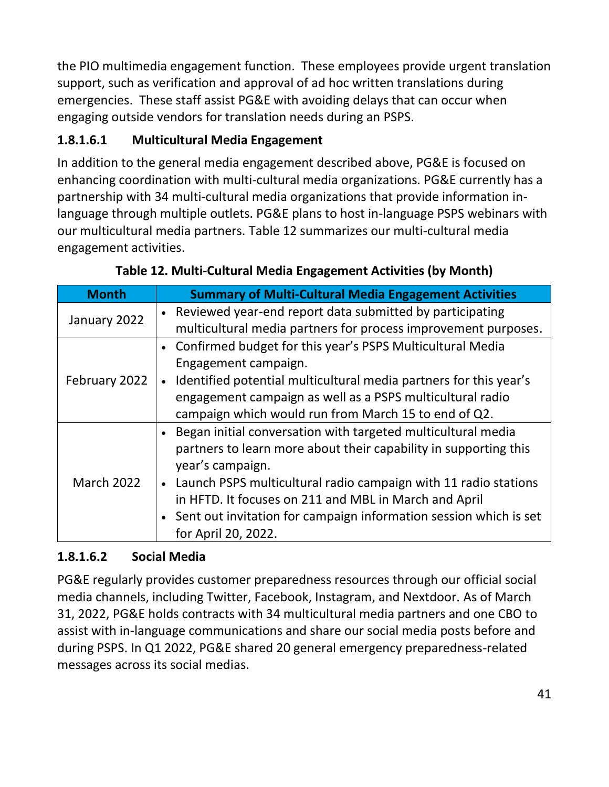the PIO multimedia engagement function. These employees provide urgent translation support, such as verification and approval of ad hoc written translations during emergencies. These staff assist PG&E with avoiding delays that can occur when engaging outside vendors for translation needs during an PSPS.

# <span id="page-45-1"></span>**1.8.1.6.1 Multicultural Media Engagement**

In addition to the general media engagement described above, PG&E is focused on enhancing coordination with multi-cultural media organizations. PG&E currently has a partnership with 34 multi-cultural media organizations that provide information inlanguage through multiple outlets. PG&E plans to host in-language PSPS webinars with our multicultural media partners. [Table 12](#page-45-0) summarizes our multi-cultural media engagement activities.

<span id="page-45-0"></span>

| <b>Month</b>      | <b>Summary of Multi-Cultural Media Engagement Activities</b>        |  |  |
|-------------------|---------------------------------------------------------------------|--|--|
| January 2022      | • Reviewed year-end report data submitted by participating          |  |  |
|                   | multicultural media partners for process improvement purposes.      |  |  |
|                   | • Confirmed budget for this year's PSPS Multicultural Media         |  |  |
|                   | Engagement campaign.                                                |  |  |
| February 2022     | • Identified potential multicultural media partners for this year's |  |  |
|                   | engagement campaign as well as a PSPS multicultural radio           |  |  |
|                   | campaign which would run from March 15 to end of Q2.                |  |  |
|                   | Began initial conversation with targeted multicultural media        |  |  |
|                   | partners to learn more about their capability in supporting this    |  |  |
|                   | year's campaign.                                                    |  |  |
| <b>March 2022</b> | • Launch PSPS multicultural radio campaign with 11 radio stations   |  |  |
|                   | in HFTD. It focuses on 211 and MBL in March and April               |  |  |
|                   | • Sent out invitation for campaign information session which is set |  |  |
|                   | for April 20, 2022.                                                 |  |  |

# **1.8.1.6.2 Social Media**

PG&E regularly provides customer preparedness resources through our official social media channels, including Twitter, Facebook, Instagram, and Nextdoor. As of March 31, 2022, PG&E holds contracts with 34 multicultural media partners and one CBO to assist with in-language communications and share our social media posts before and during PSPS. In Q1 2022, PG&E shared 20 general emergency preparedness-related messages across its social medias.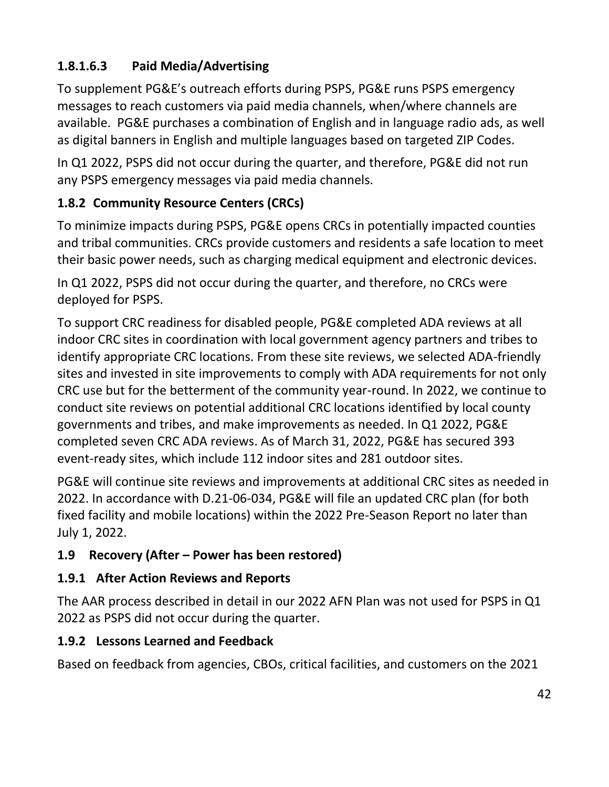# **1.8.1.6.3 Paid Media/Advertising**

To supplement PG&E's outreach efforts during PSPS, PG&E runs PSPS emergency messages to reach customers via paid media channels, when/where channels are available. PG&E purchases a combination of English and in language radio ads, as well as digital banners in English and multiple languages based on targeted ZIP Codes.

In Q1 2022, PSPS did not occur during the quarter, and therefore, PG&E did not run any PSPS emergency messages via paid media channels.

# <span id="page-46-0"></span>**1.8.2 Community Resource Centers (CRCs)**

To minimize impacts during PSPS, PG&E opens CRCs in potentially impacted counties and tribal communities. CRCs provide customers and residents a safe location to meet their basic power needs, such as charging medical equipment and electronic devices.

In Q1 2022, PSPS did not occur during the quarter, and therefore, no CRCs were deployed for PSPS.

To support CRC readiness for disabled people, PG&E completed ADA reviews at all indoor CRC sites in coordination with local government agency partners and tribes to identify appropriate CRC locations. From these site reviews, we selected ADA-friendly sites and invested in site improvements to comply with ADA requirements for not only CRC use but for the betterment of the community year-round. In 2022, we continue to conduct site reviews on potential additional CRC locations identified by local county governments and tribes, and make improvements as needed. In Q1 2022, PG&E completed seven CRC ADA reviews. As of March 31, 2022, PG&E has secured 393 event-ready sites, which include 112 indoor sites and 281 outdoor sites.

PG&E will continue site reviews and improvements at additional CRC sites as needed in 2022. In accordance with D.21-06-034, PG&E will file an updated CRC plan (for both fixed facility and mobile locations) within the 2022 Pre-Season Report no later than July 1, 2022.

### <span id="page-46-1"></span>**1.9 Recovery (After – Power has been restored)**

#### <span id="page-46-2"></span>**1.9.1 After Action Reviews and Reports**

The AAR process described in detail in our 2022 AFN Plan was not used for PSPS in Q1 2022 as PSPS did not occur during the quarter.

### <span id="page-46-3"></span>**1.9.2 Lessons Learned and Feedback**

Based on feedback from agencies, CBOs, critical facilities, and customers on the 2021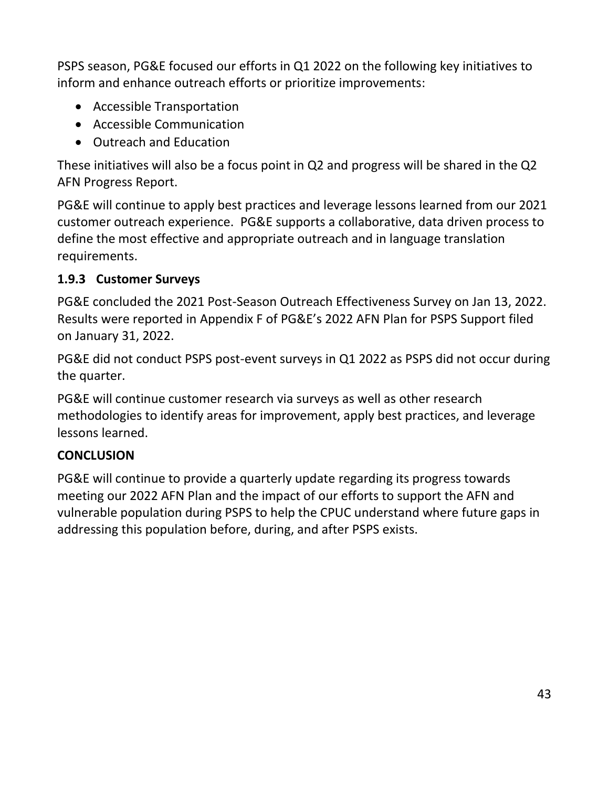PSPS season, PG&E focused our efforts in Q1 2022 on the following key initiatives to inform and enhance outreach efforts or prioritize improvements:

- Accessible Transportation
- Accessible Communication
- Outreach and Education

These initiatives will also be a focus point in Q2 and progress will be shared in the Q2 AFN Progress Report.

PG&E will continue to apply best practices and leverage lessons learned from our 2021 customer outreach experience. PG&E supports a collaborative, data driven process to define the most effective and appropriate outreach and in language translation requirements.

### <span id="page-47-0"></span>**1.9.3 Customer Surveys**

PG&E concluded the 2021 Post-Season Outreach Effectiveness Survey on Jan 13, 2022. Results were reported in Appendix F of PG&E's 2022 AFN Plan for PSPS Support filed on January 31, 2022.

PG&E did not conduct PSPS post-event surveys in Q1 2022 as PSPS did not occur during the quarter.

PG&E will continue customer research via surveys as well as other research methodologies to identify areas for improvement, apply best practices, and leverage lessons learned.

#### <span id="page-47-1"></span>**CONCLUSION**

PG&E will continue to provide a quarterly update regarding its progress towards meeting our 2022 AFN Plan and the impact of our efforts to support the AFN and vulnerable population during PSPS to help the CPUC understand where future gaps in addressing this population before, during, and after PSPS exists.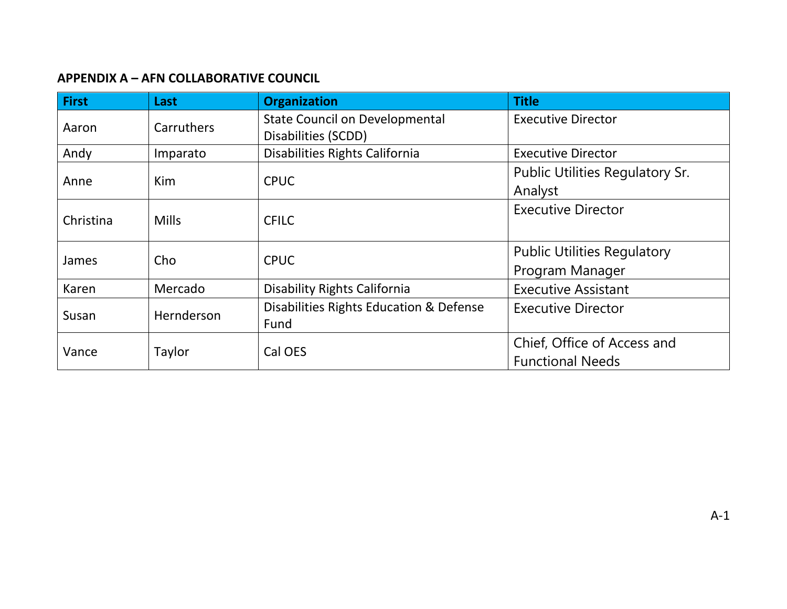#### **APPENDIX A – AFN COLLABORATIVE COUNCIL**

<span id="page-48-0"></span>

| <b>First</b> | Last         | <b>Organization</b>                     | <b>Title</b>                       |
|--------------|--------------|-----------------------------------------|------------------------------------|
| Aaron        | Carruthers   | <b>State Council on Developmental</b>   | <b>Executive Director</b>          |
|              |              | Disabilities (SCDD)                     |                                    |
| Andy         | Imparato     | Disabilities Rights California          | <b>Executive Director</b>          |
|              |              | <b>CPUC</b>                             | Public Utilities Regulatory Sr.    |
| Anne         | <b>Kim</b>   |                                         | Analyst                            |
|              |              |                                         | <b>Executive Director</b>          |
| Christina    | <b>Mills</b> | <b>CFILC</b>                            |                                    |
|              |              | <b>CPUC</b>                             | <b>Public Utilities Regulatory</b> |
| James        | Cho          |                                         | Program Manager                    |
| Karen        | Mercado      | <b>Disability Rights California</b>     | <b>Executive Assistant</b>         |
| Susan        | Hernderson   | Disabilities Rights Education & Defense | <b>Executive Director</b>          |
|              |              | Fund                                    |                                    |
|              |              |                                         | Chief, Office of Access and        |
| Vance        | Taylor       | Cal OES                                 | <b>Functional Needs</b>            |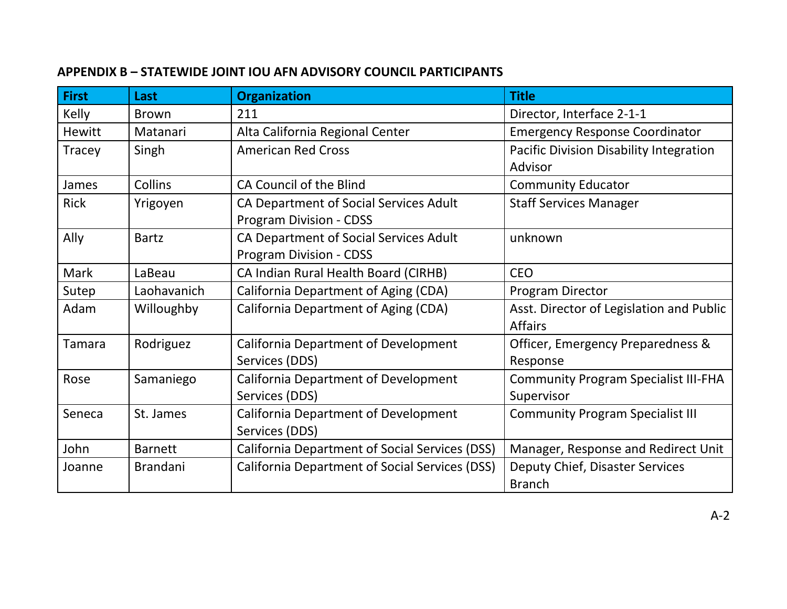#### **APPENDIX B – STATEWIDE JOINT IOU AFN ADVISORY COUNCIL PARTICIPANTS**

<span id="page-49-0"></span>

| <b>First</b>  | Last            | <b>Organization</b>                                                      | <b>Title</b>                                               |
|---------------|-----------------|--------------------------------------------------------------------------|------------------------------------------------------------|
| Kelly         | <b>Brown</b>    | 211                                                                      | Director, Interface 2-1-1                                  |
| Hewitt        | Matanari        | Alta California Regional Center                                          | <b>Emergency Response Coordinator</b>                      |
| <b>Tracey</b> | Singh           | <b>American Red Cross</b>                                                | <b>Pacific Division Disability Integration</b><br>Advisor  |
| James         | Collins         | CA Council of the Blind                                                  | <b>Community Educator</b>                                  |
| <b>Rick</b>   | Yrigoyen        | CA Department of Social Services Adult<br><b>Program Division - CDSS</b> | <b>Staff Services Manager</b>                              |
| Ally          | <b>Bartz</b>    | CA Department of Social Services Adult<br><b>Program Division - CDSS</b> | unknown                                                    |
| Mark          | LaBeau          | CA Indian Rural Health Board (CIRHB)                                     | <b>CEO</b>                                                 |
| Sutep         | Laohavanich     | California Department of Aging (CDA)                                     | Program Director                                           |
| Adam          | Willoughby      | California Department of Aging (CDA)                                     | Asst. Director of Legislation and Public<br><b>Affairs</b> |
| <b>Tamara</b> | Rodriguez       | <b>California Department of Development</b><br>Services (DDS)            | Officer, Emergency Preparedness &<br>Response              |
| Rose          | Samaniego       | California Department of Development<br>Services (DDS)                   | <b>Community Program Specialist III-FHA</b><br>Supervisor  |
| Seneca        | St. James       | California Department of Development<br>Services (DDS)                   | <b>Community Program Specialist III</b>                    |
| John          | <b>Barnett</b>  | California Department of Social Services (DSS)                           | Manager, Response and Redirect Unit                        |
| Joanne        | <b>Brandani</b> | California Department of Social Services (DSS)                           | Deputy Chief, Disaster Services<br><b>Branch</b>           |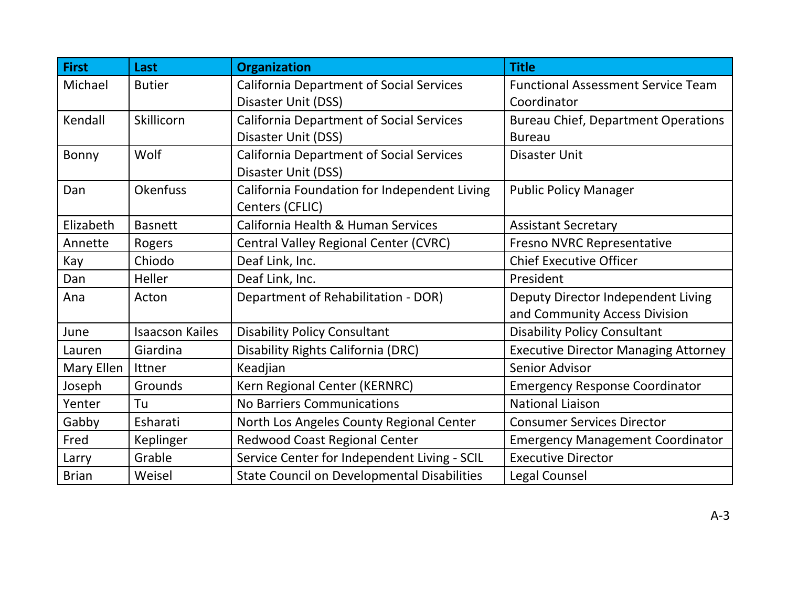| <b>First</b> | Last                   | <b>Organization</b>                                | <b>Title</b>                                |
|--------------|------------------------|----------------------------------------------------|---------------------------------------------|
| Michael      | <b>Butier</b>          | <b>California Department of Social Services</b>    | <b>Functional Assessment Service Team</b>   |
|              |                        | Disaster Unit (DSS)                                | Coordinator                                 |
| Kendall      | Skillicorn             | <b>California Department of Social Services</b>    | <b>Bureau Chief, Department Operations</b>  |
|              |                        | Disaster Unit (DSS)                                | <b>Bureau</b>                               |
| Bonny        | Wolf                   | <b>California Department of Social Services</b>    | Disaster Unit                               |
|              |                        | Disaster Unit (DSS)                                |                                             |
| Dan          | <b>Okenfuss</b>        | California Foundation for Independent Living       | <b>Public Policy Manager</b>                |
|              |                        | Centers (CFLIC)                                    |                                             |
| Elizabeth    | <b>Basnett</b>         | California Health & Human Services                 | <b>Assistant Secretary</b>                  |
| Annette      | Rogers                 | Central Valley Regional Center (CVRC)              | <b>Fresno NVRC Representative</b>           |
| Kay          | Chiodo                 | Deaf Link, Inc.                                    | <b>Chief Executive Officer</b>              |
| Dan          | Heller                 | Deaf Link, Inc.                                    | President                                   |
| Ana          | Acton                  | Department of Rehabilitation - DOR)                | Deputy Director Independent Living          |
|              |                        |                                                    | and Community Access Division               |
| June         | <b>Isaacson Kailes</b> | <b>Disability Policy Consultant</b>                | <b>Disability Policy Consultant</b>         |
| Lauren       | Giardina               | Disability Rights California (DRC)                 | <b>Executive Director Managing Attorney</b> |
| Mary Ellen   | Ittner                 | Keadjian                                           | <b>Senior Advisor</b>                       |
| Joseph       | Grounds                | Kern Regional Center (KERNRC)                      | <b>Emergency Response Coordinator</b>       |
| Yenter       | Tu                     | <b>No Barriers Communications</b>                  | <b>National Liaison</b>                     |
| Gabby        | Esharati               | North Los Angeles County Regional Center           | <b>Consumer Services Director</b>           |
| Fred         | Keplinger              | Redwood Coast Regional Center                      | <b>Emergency Management Coordinator</b>     |
| Larry        | Grable                 | Service Center for Independent Living - SCIL       | <b>Executive Director</b>                   |
| <b>Brian</b> | Weisel                 | <b>State Council on Developmental Disabilities</b> | <b>Legal Counsel</b>                        |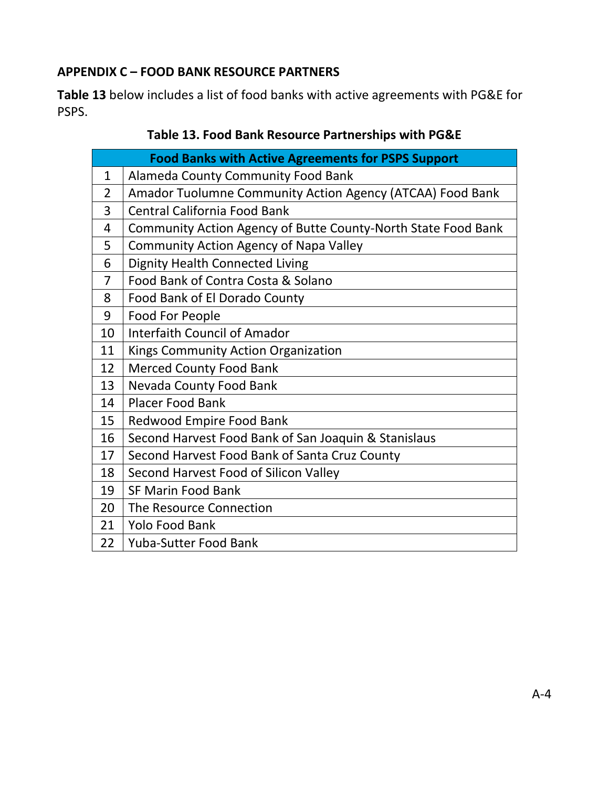## <span id="page-51-0"></span>**APPENDIX C – FOOD BANK RESOURCE PARTNERS**

<span id="page-51-1"></span>**[Table 13](#page-51-1)** below includes a list of food banks with active agreements with PG&E for PSPS.

| Table 13. Food Bank Resource Partnerships with PG&E |  |
|-----------------------------------------------------|--|
|-----------------------------------------------------|--|

| <b>Food Banks with Active Agreements for PSPS Support</b> |                                                               |  |
|-----------------------------------------------------------|---------------------------------------------------------------|--|
| $\mathbf{1}$                                              | Alameda County Community Food Bank                            |  |
| $\overline{2}$                                            | Amador Tuolumne Community Action Agency (ATCAA) Food Bank     |  |
| 3                                                         | Central California Food Bank                                  |  |
| 4                                                         | Community Action Agency of Butte County-North State Food Bank |  |
| 5                                                         | <b>Community Action Agency of Napa Valley</b>                 |  |
| 6                                                         | <b>Dignity Health Connected Living</b>                        |  |
| $\overline{7}$                                            | Food Bank of Contra Costa & Solano                            |  |
| 8                                                         | Food Bank of El Dorado County                                 |  |
| 9                                                         | Food For People                                               |  |
| 10                                                        | <b>Interfaith Council of Amador</b>                           |  |
| 11                                                        | Kings Community Action Organization                           |  |
| 12                                                        | <b>Merced County Food Bank</b>                                |  |
| 13                                                        | Nevada County Food Bank                                       |  |
| 14                                                        | Placer Food Bank                                              |  |
| 15                                                        | <b>Redwood Empire Food Bank</b>                               |  |
| 16                                                        | Second Harvest Food Bank of San Joaquin & Stanislaus          |  |
| 17                                                        | Second Harvest Food Bank of Santa Cruz County                 |  |
| 18                                                        | Second Harvest Food of Silicon Valley                         |  |
| 19                                                        | <b>SF Marin Food Bank</b>                                     |  |
| 20                                                        | The Resource Connection                                       |  |
| 21                                                        | <b>Yolo Food Bank</b>                                         |  |
| 22                                                        | <b>Yuba-Sutter Food Bank</b>                                  |  |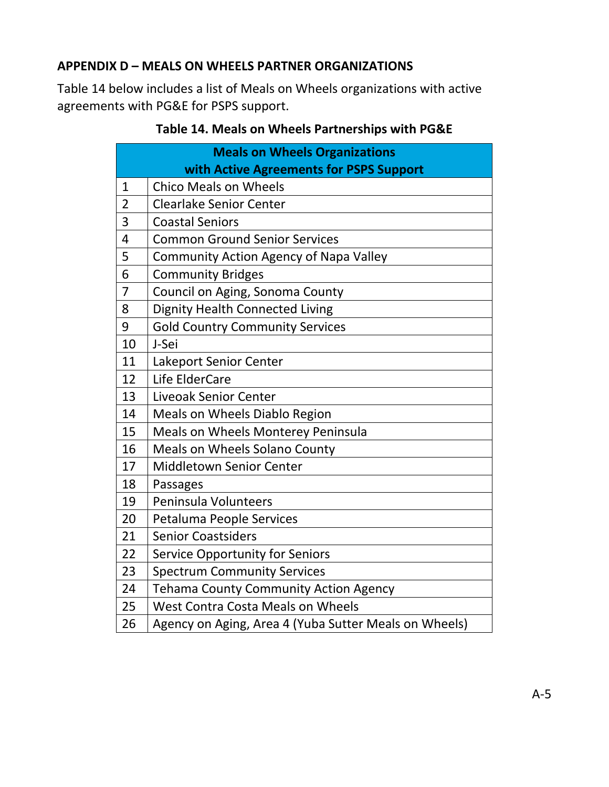#### <span id="page-52-0"></span>**APPENDIX D – MEALS ON WHEELS PARTNER ORGANIZATIONS**

<span id="page-52-1"></span>[Table 14](#page-52-1) below includes a list of Meals on Wheels organizations with active agreements with PG&E for PSPS support.

| <b>Meals on Wheels Organizations</b> |                                                       |  |
|--------------------------------------|-------------------------------------------------------|--|
|                                      | with Active Agreements for PSPS Support               |  |
| 1                                    | <b>Chico Meals on Wheels</b>                          |  |
| $\overline{2}$                       | <b>Clearlake Senior Center</b>                        |  |
| 3                                    | <b>Coastal Seniors</b>                                |  |
| 4                                    | <b>Common Ground Senior Services</b>                  |  |
| 5                                    | <b>Community Action Agency of Napa Valley</b>         |  |
| 6                                    | <b>Community Bridges</b>                              |  |
| $\overline{7}$                       | Council on Aging, Sonoma County                       |  |
| 8                                    | <b>Dignity Health Connected Living</b>                |  |
| 9                                    | <b>Gold Country Community Services</b>                |  |
| 10                                   | J-Sei                                                 |  |
| 11                                   | Lakeport Senior Center                                |  |
| 12                                   | Life ElderCare                                        |  |
| 13                                   | <b>Liveoak Senior Center</b>                          |  |
| 14                                   | Meals on Wheels Diablo Region                         |  |
| 15                                   | <b>Meals on Wheels Monterey Peninsula</b>             |  |
| 16                                   | <b>Meals on Wheels Solano County</b>                  |  |
| 17                                   | <b>Middletown Senior Center</b>                       |  |
| 18                                   | Passages                                              |  |
| 19                                   | Peninsula Volunteers                                  |  |
| 20                                   | Petaluma People Services                              |  |
| 21                                   | <b>Senior Coastsiders</b>                             |  |
| 22                                   | <b>Service Opportunity for Seniors</b>                |  |
| 23                                   | <b>Spectrum Community Services</b>                    |  |
| 24                                   | <b>Tehama County Community Action Agency</b>          |  |
| 25                                   | West Contra Costa Meals on Wheels                     |  |
| 26                                   | Agency on Aging, Area 4 (Yuba Sutter Meals on Wheels) |  |

# **Table 14. Meals on Wheels Partnerships with PG&E**